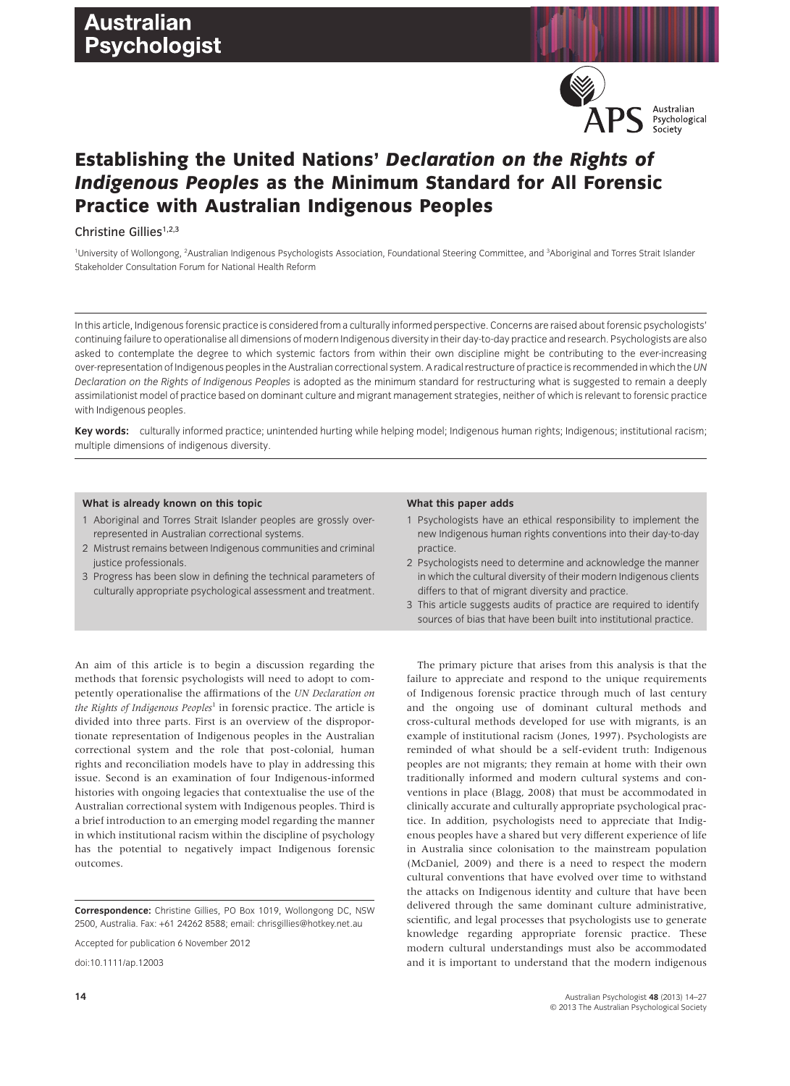

# **Establishing the United Nations'** *Declaration on the Rights of Indigenous Peoples* **as the Minimum Standard for All Forensic Practice with Australian Indigenous Peoples**

Christine Gillies<sup>1,2,3</sup>

<sup>1</sup>University of Wollongong, <sup>2</sup>Australian Indigenous Psychologists Association, Foundational Steering Committee, and <sup>3</sup>Aboriginal and Torres Strait Islander Stakeholder Consultation Forum for National Health Reform

In this article, Indigenous forensic practice is considered from a culturally informed perspective. Concerns are raised about forensic psychologists' continuing failure to operationalise all dimensions of modern Indigenous diversity in their day-to-day practice and research. Psychologists are also asked to contemplate the degree to which systemic factors from within their own discipline might be contributing to the ever-increasing over-representation of Indigenous peoples in the Australian correctional system. A radical restructure of practice is recommended in which the*UN Declaration on the Rights of Indigenous Peoples* is adopted as the minimum standard for restructuring what is suggested to remain a deeply assimilationist model of practice based on dominant culture and migrant management strategies, neither of which is relevant to forensic practice with Indigenous peoples.

**Key words:** culturally informed practice; unintended hurting while helping model; Indigenous human rights; Indigenous; institutional racism; multiple dimensions of indigenous diversity.

### **What is already known on this topic**

- 1 Aboriginal and Torres Strait Islander peoples are grossly overrepresented in Australian correctional systems.
- 2 Mistrust remains between Indigenous communities and criminal justice professionals.
- 3 Progress has been slow in defining the technical parameters of culturally appropriate psychological assessment and treatment.

An aim of this article is to begin a discussion regarding the methods that forensic psychologists will need to adopt to competently operationalise the affirmations of the *UN Declaration on the Rights of Indigenous Peoples*<sup>1</sup> in forensic practice. The article is divided into three parts. First is an overview of the disproportionate representation of Indigenous peoples in the Australian correctional system and the role that post-colonial, human rights and reconciliation models have to play in addressing this issue. Second is an examination of four Indigenous-informed histories with ongoing legacies that contextualise the use of the Australian correctional system with Indigenous peoples. Third is a brief introduction to an emerging model regarding the manner in which institutional racism within the discipline of psychology has the potential to negatively impact Indigenous forensic outcomes.

**Correspondence:** Christine Gillies, PO Box 1019, Wollongong DC, NSW 2500, Australia. Fax: +61 24262 8588; email: chrisgillies@hotkey.net.au

Accepted for publication 6 November 2012

doi:10.1111/ap.12003

#### **What this paper adds**

- 1 Psychologists have an ethical responsibility to implement the new Indigenous human rights conventions into their day-to-day practice.
- 2 Psychologists need to determine and acknowledge the manner in which the cultural diversity of their modern Indigenous clients differs to that of migrant diversity and practice.
- 3 This article suggests audits of practice are required to identify sources of bias that have been built into institutional practice.

The primary picture that arises from this analysis is that the failure to appreciate and respond to the unique requirements of Indigenous forensic practice through much of last century and the ongoing use of dominant cultural methods and cross-cultural methods developed for use with migrants, is an example of institutional racism (Jones, 1997). Psychologists are reminded of what should be a self-evident truth: Indigenous peoples are not migrants; they remain at home with their own traditionally informed and modern cultural systems and conventions in place (Blagg, 2008) that must be accommodated in clinically accurate and culturally appropriate psychological practice. In addition, psychologists need to appreciate that Indigenous peoples have a shared but very different experience of life in Australia since colonisation to the mainstream population (McDaniel, 2009) and there is a need to respect the modern cultural conventions that have evolved over time to withstand the attacks on Indigenous identity and culture that have been delivered through the same dominant culture administrative, scientific, and legal processes that psychologists use to generate knowledge regarding appropriate forensic practice. These modern cultural understandings must also be accommodated and it is important to understand that the modern indigenous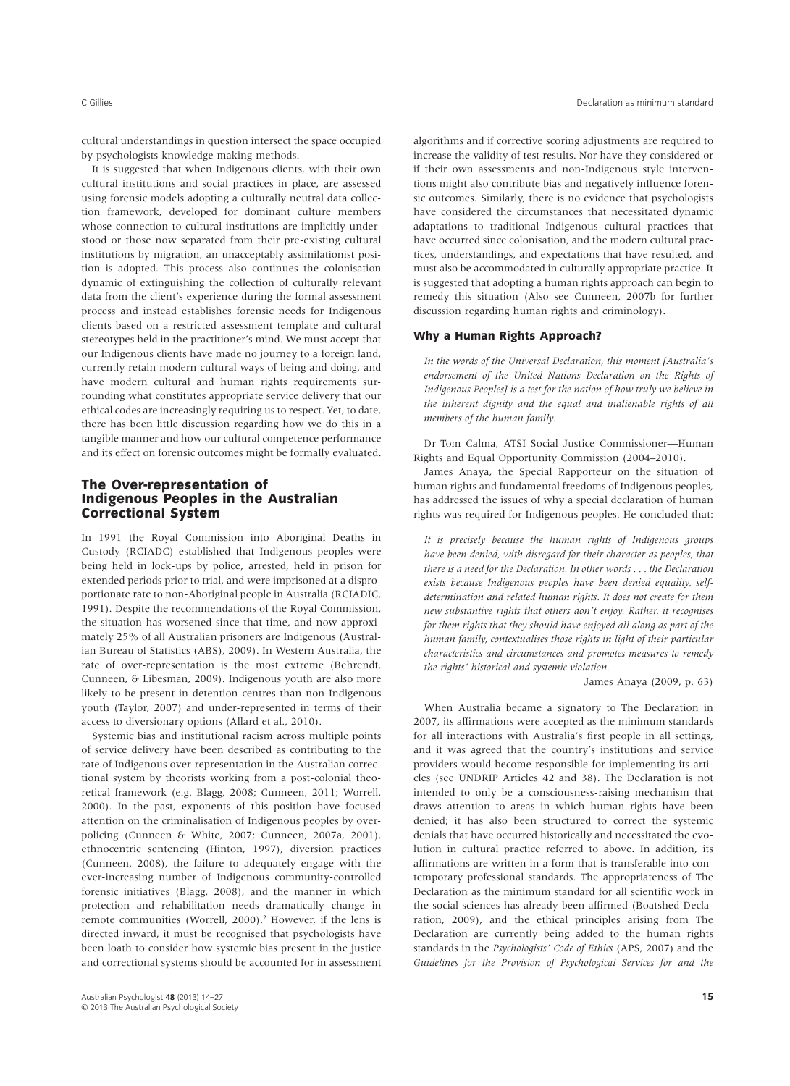cultural understandings in question intersect the space occupied by psychologists knowledge making methods.

It is suggested that when Indigenous clients, with their own cultural institutions and social practices in place, are assessed using forensic models adopting a culturally neutral data collection framework, developed for dominant culture members whose connection to cultural institutions are implicitly understood or those now separated from their pre-existing cultural institutions by migration, an unacceptably assimilationist position is adopted. This process also continues the colonisation dynamic of extinguishing the collection of culturally relevant data from the client's experience during the formal assessment process and instead establishes forensic needs for Indigenous clients based on a restricted assessment template and cultural stereotypes held in the practitioner's mind. We must accept that our Indigenous clients have made no journey to a foreign land, currently retain modern cultural ways of being and doing, and have modern cultural and human rights requirements surrounding what constitutes appropriate service delivery that our ethical codes are increasingly requiring us to respect. Yet, to date, there has been little discussion regarding how we do this in a tangible manner and how our cultural competence performance and its effect on forensic outcomes might be formally evaluated.

# **The Over-representation of Indigenous Peoples in the Australian Correctional System**

In 1991 the Royal Commission into Aboriginal Deaths in Custody (RCIADC) established that Indigenous peoples were being held in lock-ups by police, arrested, held in prison for extended periods prior to trial, and were imprisoned at a disproportionate rate to non-Aboriginal people in Australia (RCIADIC, 1991). Despite the recommendations of the Royal Commission, the situation has worsened since that time, and now approximately 25% of all Australian prisoners are Indigenous (Australian Bureau of Statistics (ABS), 2009). In Western Australia, the rate of over-representation is the most extreme (Behrendt, Cunneen, & Libesman, 2009). Indigenous youth are also more likely to be present in detention centres than non-Indigenous youth (Taylor, 2007) and under-represented in terms of their access to diversionary options (Allard et al., 2010).

Systemic bias and institutional racism across multiple points of service delivery have been described as contributing to the rate of Indigenous over-representation in the Australian correctional system by theorists working from a post-colonial theoretical framework (e.g. Blagg, 2008; Cunneen, 2011; Worrell, 2000). In the past, exponents of this position have focused attention on the criminalisation of Indigenous peoples by overpolicing (Cunneen & White, 2007; Cunneen, 2007a, 2001), ethnocentric sentencing (Hinton, 1997), diversion practices (Cunneen, 2008), the failure to adequately engage with the ever-increasing number of Indigenous community-controlled forensic initiatives (Blagg, 2008), and the manner in which protection and rehabilitation needs dramatically change in remote communities (Worrell, 2000).<sup>2</sup> However, if the lens is directed inward, it must be recognised that psychologists have been loath to consider how systemic bias present in the justice and correctional systems should be accounted for in assessment algorithms and if corrective scoring adjustments are required to increase the validity of test results. Nor have they considered or if their own assessments and non-Indigenous style interventions might also contribute bias and negatively influence forensic outcomes. Similarly, there is no evidence that psychologists have considered the circumstances that necessitated dynamic adaptations to traditional Indigenous cultural practices that have occurred since colonisation, and the modern cultural practices, understandings, and expectations that have resulted, and must also be accommodated in culturally appropriate practice. It is suggested that adopting a human rights approach can begin to remedy this situation (Also see Cunneen, 2007b for further discussion regarding human rights and criminology).

### **Why a Human Rights Approach?**

*In the words of the Universal Declaration, this moment [Australia's endorsement of the United Nations Declaration on the Rights of Indigenous Peoples] is a test for the nation of how truly we believe in the inherent dignity and the equal and inalienable rights of all members of the human family.*

Dr Tom Calma, ATSI Social Justice Commissioner—Human Rights and Equal Opportunity Commission (2004–2010).

James Anaya, the Special Rapporteur on the situation of human rights and fundamental freedoms of Indigenous peoples, has addressed the issues of why a special declaration of human rights was required for Indigenous peoples. He concluded that:

*It is precisely because the human rights of Indigenous groups have been denied, with disregard for their character as peoples, that there is a need for the Declaration. In other words . . . the Declaration exists because Indigenous peoples have been denied equality, selfdetermination and related human rights. It does not create for them new substantive rights that others don't enjoy. Rather, it recognises for them rights that they should have enjoyed all along as part of the human family, contextualises those rights in light of their particular characteristics and circumstances and promotes measures to remedy the rights' historical and systemic violation.*

James Anaya (2009, p. 63)

When Australia became a signatory to The Declaration in 2007, its affirmations were accepted as the minimum standards for all interactions with Australia's first people in all settings, and it was agreed that the country's institutions and service providers would become responsible for implementing its articles (see UNDRIP Articles 42 and 38). The Declaration is not intended to only be a consciousness-raising mechanism that draws attention to areas in which human rights have been denied; it has also been structured to correct the systemic denials that have occurred historically and necessitated the evolution in cultural practice referred to above. In addition, its affirmations are written in a form that is transferable into contemporary professional standards. The appropriateness of The Declaration as the minimum standard for all scientific work in the social sciences has already been affirmed (Boatshed Declaration, 2009), and the ethical principles arising from The Declaration are currently being added to the human rights standards in the *Psychologists' Code of Ethics* (APS, 2007) and the *Guidelines for the Provision of Psychological Services for and the*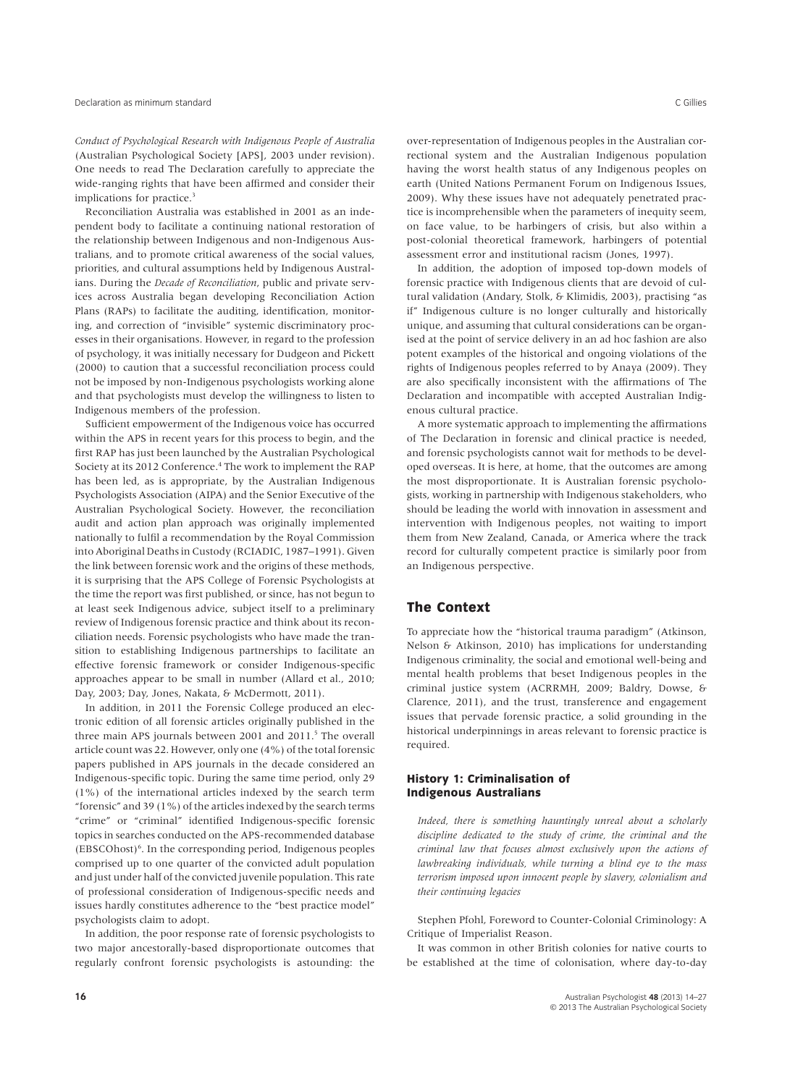*Conduct of Psychological Research with Indigenous People of Australia* (Australian Psychological Society [APS], 2003 under revision). One needs to read The Declaration carefully to appreciate the wide-ranging rights that have been affirmed and consider their implications for practice.<sup>3</sup>

Reconciliation Australia was established in 2001 as an independent body to facilitate a continuing national restoration of the relationship between Indigenous and non-Indigenous Australians, and to promote critical awareness of the social values, priorities, and cultural assumptions held by Indigenous Australians. During the *Decade of Reconciliation*, public and private services across Australia began developing Reconciliation Action Plans (RAPs) to facilitate the auditing, identification, monitoring, and correction of "invisible" systemic discriminatory processes in their organisations. However, in regard to the profession of psychology, it was initially necessary for Dudgeon and Pickett (2000) to caution that a successful reconciliation process could not be imposed by non-Indigenous psychologists working alone and that psychologists must develop the willingness to listen to Indigenous members of the profession.

Sufficient empowerment of the Indigenous voice has occurred within the APS in recent years for this process to begin, and the first RAP has just been launched by the Australian Psychological Society at its 2012 Conference.<sup>4</sup> The work to implement the RAP has been led, as is appropriate, by the Australian Indigenous Psychologists Association (AIPA) and the Senior Executive of the Australian Psychological Society. However, the reconciliation audit and action plan approach was originally implemented nationally to fulfil a recommendation by the Royal Commission into Aboriginal Deaths in Custody (RCIADIC, 1987–1991). Given the link between forensic work and the origins of these methods, it is surprising that the APS College of Forensic Psychologists at the time the report was first published, or since, has not begun to at least seek Indigenous advice, subject itself to a preliminary review of Indigenous forensic practice and think about its reconciliation needs. Forensic psychologists who have made the transition to establishing Indigenous partnerships to facilitate an effective forensic framework or consider Indigenous-specific approaches appear to be small in number (Allard et al., 2010; Day, 2003; Day, Jones, Nakata, & McDermott, 2011).

In addition, in 2011 the Forensic College produced an electronic edition of all forensic articles originally published in the three main APS journals between 2001 and 2011.<sup>5</sup> The overall article count was 22. However, only one (4%) of the total forensic papers published in APS journals in the decade considered an Indigenous-specific topic. During the same time period, only 29 (1%) of the international articles indexed by the search term "forensic" and 39 (1%) of the articles indexed by the search terms "crime" or "criminal" identified Indigenous-specific forensic topics in searches conducted on the APS-recommended database (EBSCOhost)6 . In the corresponding period, Indigenous peoples comprised up to one quarter of the convicted adult population and just under half of the convicted juvenile population. This rate of professional consideration of Indigenous-specific needs and issues hardly constitutes adherence to the "best practice model" psychologists claim to adopt.

In addition, the poor response rate of forensic psychologists to two major ancestorally-based disproportionate outcomes that regularly confront forensic psychologists is astounding: the

over-representation of Indigenous peoples in the Australian correctional system and the Australian Indigenous population having the worst health status of any Indigenous peoples on earth (United Nations Permanent Forum on Indigenous Issues, 2009). Why these issues have not adequately penetrated practice is incomprehensible when the parameters of inequity seem, on face value, to be harbingers of crisis, but also within a post-colonial theoretical framework, harbingers of potential assessment error and institutional racism (Jones, 1997).

In addition, the adoption of imposed top-down models of forensic practice with Indigenous clients that are devoid of cultural validation (Andary, Stolk, & Klimidis, 2003), practising "as if" Indigenous culture is no longer culturally and historically unique, and assuming that cultural considerations can be organised at the point of service delivery in an ad hoc fashion are also potent examples of the historical and ongoing violations of the rights of Indigenous peoples referred to by Anaya (2009). They are also specifically inconsistent with the affirmations of The Declaration and incompatible with accepted Australian Indigenous cultural practice.

A more systematic approach to implementing the affirmations of The Declaration in forensic and clinical practice is needed, and forensic psychologists cannot wait for methods to be developed overseas. It is here, at home, that the outcomes are among the most disproportionate. It is Australian forensic psychologists, working in partnership with Indigenous stakeholders, who should be leading the world with innovation in assessment and intervention with Indigenous peoples, not waiting to import them from New Zealand, Canada, or America where the track record for culturally competent practice is similarly poor from an Indigenous perspective.

## **The Context**

To appreciate how the "historical trauma paradigm" (Atkinson, Nelson & Atkinson, 2010) has implications for understanding Indigenous criminality, the social and emotional well-being and mental health problems that beset Indigenous peoples in the criminal justice system (ACRRMH, 2009; Baldry, Dowse, & Clarence, 2011), and the trust, transference and engagement issues that pervade forensic practice, a solid grounding in the historical underpinnings in areas relevant to forensic practice is required.

# **History 1: Criminalisation of Indigenous Australians**

*Indeed, there is something hauntingly unreal about a scholarly discipline dedicated to the study of crime, the criminal and the criminal law that focuses almost exclusively upon the actions of lawbreaking individuals, while turning a blind eye to the mass terrorism imposed upon innocent people by slavery, colonialism and their continuing legacies*

Stephen Pfohl, Foreword to Counter-Colonial Criminology: A Critique of Imperialist Reason.

It was common in other British colonies for native courts to be established at the time of colonisation, where day-to-day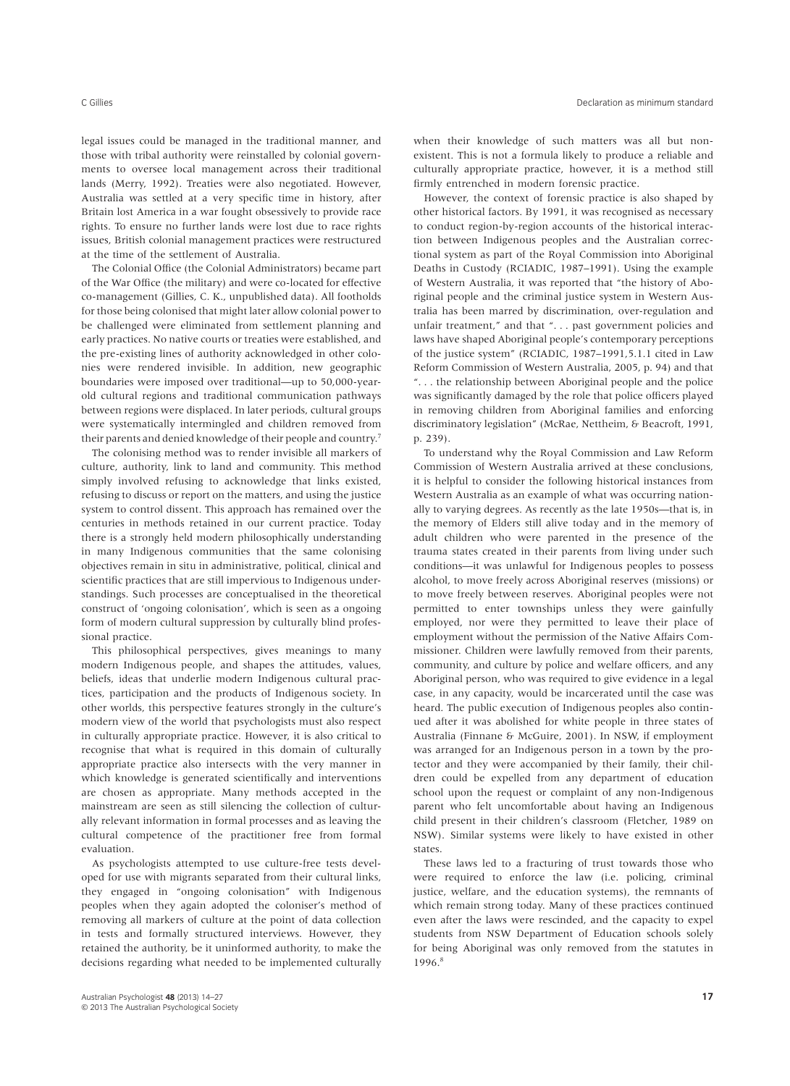legal issues could be managed in the traditional manner, and those with tribal authority were reinstalled by colonial governments to oversee local management across their traditional lands (Merry, 1992). Treaties were also negotiated. However, Australia was settled at a very specific time in history, after Britain lost America in a war fought obsessively to provide race rights. To ensure no further lands were lost due to race rights issues, British colonial management practices were restructured at the time of the settlement of Australia.

The Colonial Office (the Colonial Administrators) became part of the War Office (the military) and were co-located for effective co-management (Gillies, C. K., unpublished data). All footholds for those being colonised that might later allow colonial power to be challenged were eliminated from settlement planning and early practices. No native courts or treaties were established, and the pre-existing lines of authority acknowledged in other colonies were rendered invisible. In addition, new geographic boundaries were imposed over traditional—up to 50,000-yearold cultural regions and traditional communication pathways between regions were displaced. In later periods, cultural groups were systematically intermingled and children removed from their parents and denied knowledge of their people and country.7

The colonising method was to render invisible all markers of culture, authority, link to land and community. This method simply involved refusing to acknowledge that links existed, refusing to discuss or report on the matters, and using the justice system to control dissent. This approach has remained over the centuries in methods retained in our current practice. Today there is a strongly held modern philosophically understanding in many Indigenous communities that the same colonising objectives remain in situ in administrative, political, clinical and scientific practices that are still impervious to Indigenous understandings. Such processes are conceptualised in the theoretical construct of 'ongoing colonisation', which is seen as a ongoing form of modern cultural suppression by culturally blind professional practice.

This philosophical perspectives, gives meanings to many modern Indigenous people, and shapes the attitudes, values, beliefs, ideas that underlie modern Indigenous cultural practices, participation and the products of Indigenous society. In other worlds, this perspective features strongly in the culture's modern view of the world that psychologists must also respect in culturally appropriate practice. However, it is also critical to recognise that what is required in this domain of culturally appropriate practice also intersects with the very manner in which knowledge is generated scientifically and interventions are chosen as appropriate. Many methods accepted in the mainstream are seen as still silencing the collection of culturally relevant information in formal processes and as leaving the cultural competence of the practitioner free from formal evaluation.

As psychologists attempted to use culture-free tests developed for use with migrants separated from their cultural links, they engaged in "ongoing colonisation" with Indigenous peoples when they again adopted the coloniser's method of removing all markers of culture at the point of data collection in tests and formally structured interviews. However, they retained the authority, be it uninformed authority, to make the decisions regarding what needed to be implemented culturally

when their knowledge of such matters was all but nonexistent. This is not a formula likely to produce a reliable and culturally appropriate practice, however, it is a method still firmly entrenched in modern forensic practice.

However, the context of forensic practice is also shaped by other historical factors. By 1991, it was recognised as necessary to conduct region-by-region accounts of the historical interaction between Indigenous peoples and the Australian correctional system as part of the Royal Commission into Aboriginal Deaths in Custody (RCIADIC, 1987–1991). Using the example of Western Australia, it was reported that "the history of Aboriginal people and the criminal justice system in Western Australia has been marred by discrimination, over-regulation and unfair treatment," and that "... past government policies and laws have shaped Aboriginal people's contemporary perceptions of the justice system" (RCIADIC, 1987–1991,5.1.1 cited in Law Reform Commission of Western Australia, 2005, p. 94) and that ". . . the relationship between Aboriginal people and the police was significantly damaged by the role that police officers played in removing children from Aboriginal families and enforcing discriminatory legislation" (McRae, Nettheim, & Beacroft, 1991, p. 239).

To understand why the Royal Commission and Law Reform Commission of Western Australia arrived at these conclusions, it is helpful to consider the following historical instances from Western Australia as an example of what was occurring nationally to varying degrees. As recently as the late 1950s—that is, in the memory of Elders still alive today and in the memory of adult children who were parented in the presence of the trauma states created in their parents from living under such conditions—it was unlawful for Indigenous peoples to possess alcohol, to move freely across Aboriginal reserves (missions) or to move freely between reserves. Aboriginal peoples were not permitted to enter townships unless they were gainfully employed, nor were they permitted to leave their place of employment without the permission of the Native Affairs Commissioner. Children were lawfully removed from their parents, community, and culture by police and welfare officers, and any Aboriginal person, who was required to give evidence in a legal case, in any capacity, would be incarcerated until the case was heard. The public execution of Indigenous peoples also continued after it was abolished for white people in three states of Australia (Finnane & McGuire, 2001). In NSW, if employment was arranged for an Indigenous person in a town by the protector and they were accompanied by their family, their children could be expelled from any department of education school upon the request or complaint of any non-Indigenous parent who felt uncomfortable about having an Indigenous child present in their children's classroom (Fletcher, 1989 on NSW). Similar systems were likely to have existed in other states.

These laws led to a fracturing of trust towards those who were required to enforce the law (i.e. policing, criminal justice, welfare, and the education systems), the remnants of which remain strong today. Many of these practices continued even after the laws were rescinded, and the capacity to expel students from NSW Department of Education schools solely for being Aboriginal was only removed from the statutes in 1996.8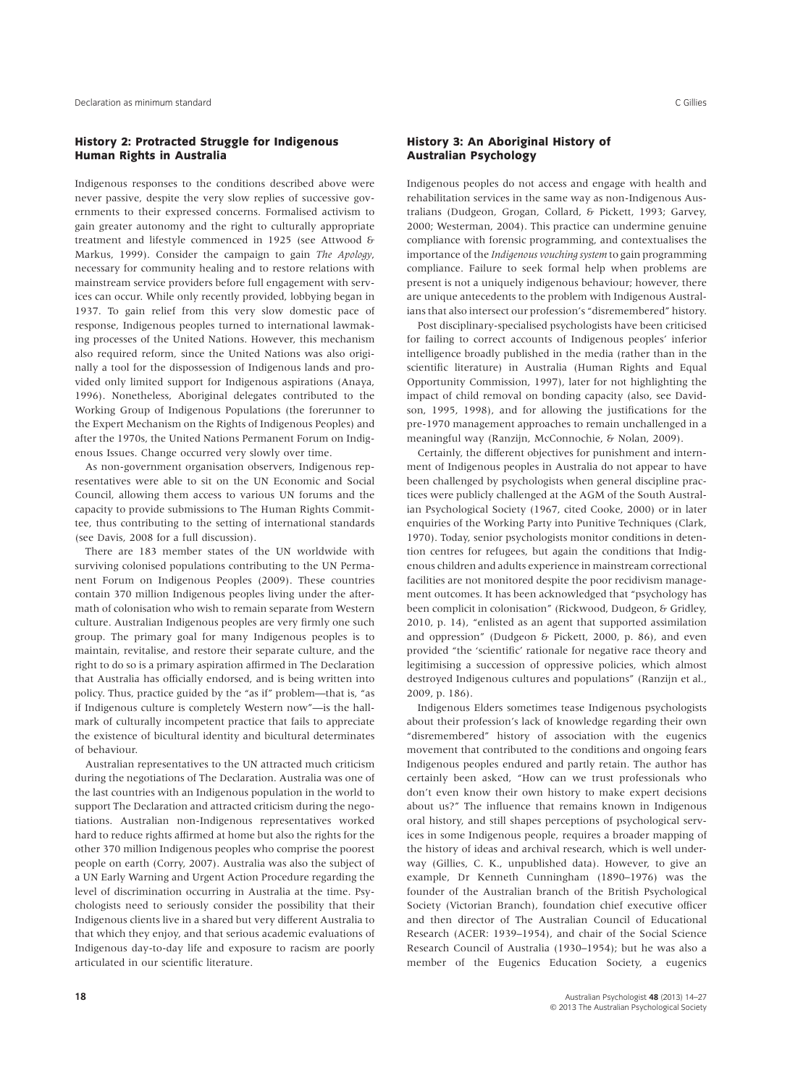### **History 2: Protracted Struggle for Indigenous Human Rights in Australia**

Indigenous responses to the conditions described above were never passive, despite the very slow replies of successive governments to their expressed concerns. Formalised activism to gain greater autonomy and the right to culturally appropriate treatment and lifestyle commenced in 1925 (see Attwood & Markus, 1999). Consider the campaign to gain *The Apology*, necessary for community healing and to restore relations with mainstream service providers before full engagement with services can occur. While only recently provided, lobbying began in 1937. To gain relief from this very slow domestic pace of response, Indigenous peoples turned to international lawmaking processes of the United Nations. However, this mechanism also required reform, since the United Nations was also originally a tool for the dispossession of Indigenous lands and provided only limited support for Indigenous aspirations (Anaya, 1996). Nonetheless, Aboriginal delegates contributed to the Working Group of Indigenous Populations (the forerunner to the Expert Mechanism on the Rights of Indigenous Peoples) and after the 1970s, the United Nations Permanent Forum on Indigenous Issues. Change occurred very slowly over time.

As non-government organisation observers, Indigenous representatives were able to sit on the UN Economic and Social Council, allowing them access to various UN forums and the capacity to provide submissions to The Human Rights Committee, thus contributing to the setting of international standards (see Davis, 2008 for a full discussion).

There are 183 member states of the UN worldwide with surviving colonised populations contributing to the UN Permanent Forum on Indigenous Peoples (2009). These countries contain 370 million Indigenous peoples living under the aftermath of colonisation who wish to remain separate from Western culture. Australian Indigenous peoples are very firmly one such group. The primary goal for many Indigenous peoples is to maintain, revitalise, and restore their separate culture, and the right to do so is a primary aspiration affirmed in The Declaration that Australia has officially endorsed, and is being written into policy. Thus, practice guided by the "as if" problem—that is, "as if Indigenous culture is completely Western now"—is the hallmark of culturally incompetent practice that fails to appreciate the existence of bicultural identity and bicultural determinates of behaviour.

Australian representatives to the UN attracted much criticism during the negotiations of The Declaration. Australia was one of the last countries with an Indigenous population in the world to support The Declaration and attracted criticism during the negotiations. Australian non-Indigenous representatives worked hard to reduce rights affirmed at home but also the rights for the other 370 million Indigenous peoples who comprise the poorest people on earth (Corry, 2007). Australia was also the subject of a UN Early Warning and Urgent Action Procedure regarding the level of discrimination occurring in Australia at the time. Psychologists need to seriously consider the possibility that their Indigenous clients live in a shared but very different Australia to that which they enjoy, and that serious academic evaluations of Indigenous day-to-day life and exposure to racism are poorly articulated in our scientific literature.

### **History 3: An Aboriginal History of Australian Psychology**

Indigenous peoples do not access and engage with health and rehabilitation services in the same way as non-Indigenous Australians (Dudgeon, Grogan, Collard, & Pickett, 1993; Garvey, 2000; Westerman, 2004). This practice can undermine genuine compliance with forensic programming, and contextualises the importance of the *Indigenous vouching system* to gain programming compliance. Failure to seek formal help when problems are present is not a uniquely indigenous behaviour; however, there are unique antecedents to the problem with Indigenous Australians that also intersect our profession's "disremembered" history.

Post disciplinary-specialised psychologists have been criticised for failing to correct accounts of Indigenous peoples' inferior intelligence broadly published in the media (rather than in the scientific literature) in Australia (Human Rights and Equal Opportunity Commission, 1997), later for not highlighting the impact of child removal on bonding capacity (also, see Davidson, 1995, 1998), and for allowing the justifications for the pre-1970 management approaches to remain unchallenged in a meaningful way (Ranzijn, McConnochie, & Nolan, 2009).

Certainly, the different objectives for punishment and internment of Indigenous peoples in Australia do not appear to have been challenged by psychologists when general discipline practices were publicly challenged at the AGM of the South Australian Psychological Society (1967, cited Cooke, 2000) or in later enquiries of the Working Party into Punitive Techniques (Clark, 1970). Today, senior psychologists monitor conditions in detention centres for refugees, but again the conditions that Indigenous children and adults experience in mainstream correctional facilities are not monitored despite the poor recidivism management outcomes. It has been acknowledged that "psychology has been complicit in colonisation" (Rickwood, Dudgeon, & Gridley, 2010, p. 14), "enlisted as an agent that supported assimilation and oppression" (Dudgeon & Pickett, 2000, p. 86), and even provided "the 'scientific' rationale for negative race theory and legitimising a succession of oppressive policies, which almost destroyed Indigenous cultures and populations" (Ranzijn et al., 2009, p. 186).

Indigenous Elders sometimes tease Indigenous psychologists about their profession's lack of knowledge regarding their own "disremembered" history of association with the eugenics movement that contributed to the conditions and ongoing fears Indigenous peoples endured and partly retain. The author has certainly been asked, "How can we trust professionals who don't even know their own history to make expert decisions about us?" The influence that remains known in Indigenous oral history, and still shapes perceptions of psychological services in some Indigenous people, requires a broader mapping of the history of ideas and archival research, which is well underway (Gillies, C. K., unpublished data). However, to give an example, Dr Kenneth Cunningham (1890–1976) was the founder of the Australian branch of the British Psychological Society (Victorian Branch), foundation chief executive officer and then director of The Australian Council of Educational Research (ACER: 1939–1954), and chair of the Social Science Research Council of Australia (1930–1954); but he was also a member of the Eugenics Education Society, a eugenics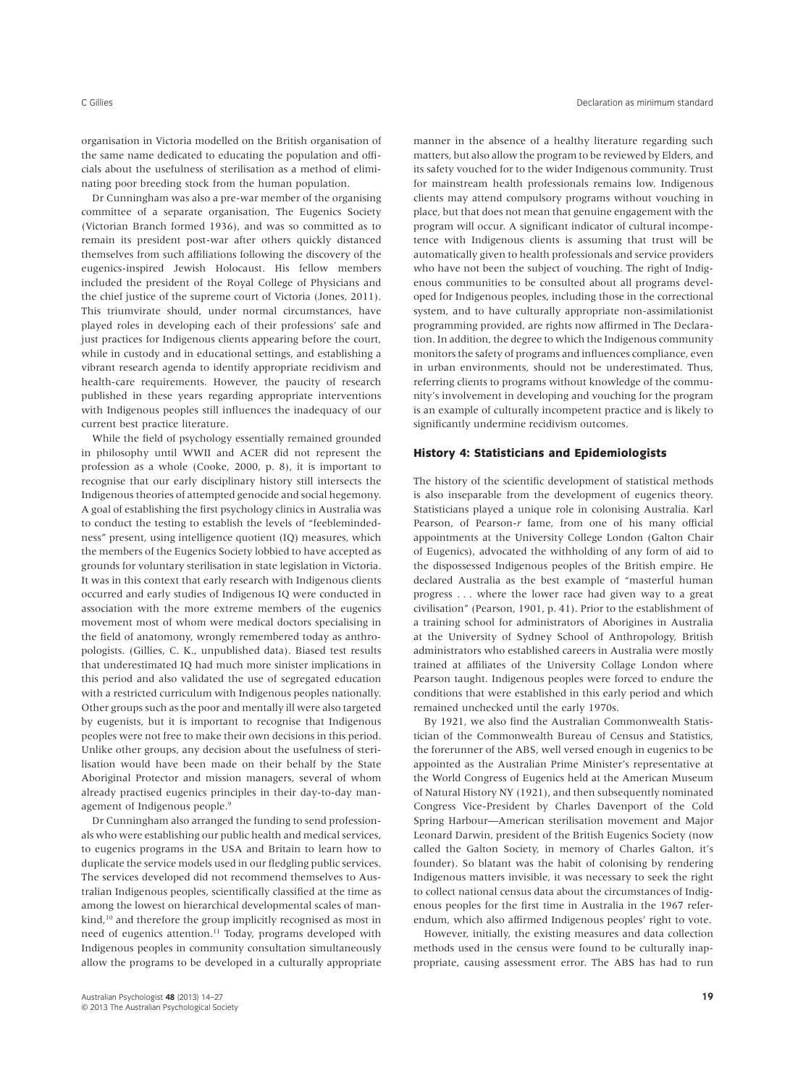organisation in Victoria modelled on the British organisation of the same name dedicated to educating the population and officials about the usefulness of sterilisation as a method of eliminating poor breeding stock from the human population.

Dr Cunningham was also a pre-war member of the organising committee of a separate organisation, The Eugenics Society (Victorian Branch formed 1936), and was so committed as to remain its president post-war after others quickly distanced themselves from such affiliations following the discovery of the eugenics-inspired Jewish Holocaust. His fellow members included the president of the Royal College of Physicians and the chief justice of the supreme court of Victoria (Jones, 2011). This triumvirate should, under normal circumstances, have played roles in developing each of their professions' safe and just practices for Indigenous clients appearing before the court, while in custody and in educational settings, and establishing a vibrant research agenda to identify appropriate recidivism and health-care requirements. However, the paucity of research published in these years regarding appropriate interventions with Indigenous peoples still influences the inadequacy of our current best practice literature.

While the field of psychology essentially remained grounded in philosophy until WWII and ACER did not represent the profession as a whole (Cooke, 2000, p. 8), it is important to recognise that our early disciplinary history still intersects the Indigenous theories of attempted genocide and social hegemony. A goal of establishing the first psychology clinics in Australia was to conduct the testing to establish the levels of "feeblemindedness" present, using intelligence quotient (IQ) measures, which the members of the Eugenics Society lobbied to have accepted as grounds for voluntary sterilisation in state legislation in Victoria. It was in this context that early research with Indigenous clients occurred and early studies of Indigenous IQ were conducted in association with the more extreme members of the eugenics movement most of whom were medical doctors specialising in the field of anatomony, wrongly remembered today as anthropologists. (Gillies, C. K., unpublished data). Biased test results that underestimated IQ had much more sinister implications in this period and also validated the use of segregated education with a restricted curriculum with Indigenous peoples nationally. Other groups such as the poor and mentally ill were also targeted by eugenists, but it is important to recognise that Indigenous peoples were not free to make their own decisions in this period. Unlike other groups, any decision about the usefulness of sterilisation would have been made on their behalf by the State Aboriginal Protector and mission managers, several of whom already practised eugenics principles in their day-to-day management of Indigenous people.<sup>9</sup>

Dr Cunningham also arranged the funding to send professionals who were establishing our public health and medical services, to eugenics programs in the USA and Britain to learn how to duplicate the service models used in our fledgling public services. The services developed did not recommend themselves to Australian Indigenous peoples, scientifically classified at the time as among the lowest on hierarchical developmental scales of mankind,<sup>10</sup> and therefore the group implicitly recognised as most in need of eugenics attention.<sup>11</sup> Today, programs developed with Indigenous peoples in community consultation simultaneously allow the programs to be developed in a culturally appropriate

manner in the absence of a healthy literature regarding such matters, but also allow the program to be reviewed by Elders, and its safety vouched for to the wider Indigenous community. Trust for mainstream health professionals remains low. Indigenous clients may attend compulsory programs without vouching in place, but that does not mean that genuine engagement with the program will occur. A significant indicator of cultural incompetence with Indigenous clients is assuming that trust will be automatically given to health professionals and service providers who have not been the subject of vouching. The right of Indigenous communities to be consulted about all programs developed for Indigenous peoples, including those in the correctional system, and to have culturally appropriate non-assimilationist programming provided, are rights now affirmed in The Declaration. In addition, the degree to which the Indigenous community monitors the safety of programs and influences compliance, even in urban environments, should not be underestimated. Thus, referring clients to programs without knowledge of the community's involvement in developing and vouching for the program is an example of culturally incompetent practice and is likely to significantly undermine recidivism outcomes.

#### **History 4: Statisticians and Epidemiologists**

The history of the scientific development of statistical methods is also inseparable from the development of eugenics theory. Statisticians played a unique role in colonising Australia. Karl Pearson, of Pearson-*r* fame, from one of his many official appointments at the University College London (Galton Chair of Eugenics), advocated the withholding of any form of aid to the dispossessed Indigenous peoples of the British empire. He declared Australia as the best example of "masterful human progress . . . where the lower race had given way to a great civilisation" (Pearson, 1901, p. 41). Prior to the establishment of a training school for administrators of Aborigines in Australia at the University of Sydney School of Anthropology, British administrators who established careers in Australia were mostly trained at affiliates of the University Collage London where Pearson taught. Indigenous peoples were forced to endure the conditions that were established in this early period and which remained unchecked until the early 1970s.

By 1921, we also find the Australian Commonwealth Statistician of the Commonwealth Bureau of Census and Statistics, the forerunner of the ABS, well versed enough in eugenics to be appointed as the Australian Prime Minister's representative at the World Congress of Eugenics held at the American Museum of Natural History NY (1921), and then subsequently nominated Congress Vice-President by Charles Davenport of the Cold Spring Harbour—American sterilisation movement and Major Leonard Darwin, president of the British Eugenics Society (now called the Galton Society, in memory of Charles Galton, it's founder). So blatant was the habit of colonising by rendering Indigenous matters invisible, it was necessary to seek the right to collect national census data about the circumstances of Indigenous peoples for the first time in Australia in the 1967 referendum, which also affirmed Indigenous peoples' right to vote.

However, initially, the existing measures and data collection methods used in the census were found to be culturally inappropriate, causing assessment error. The ABS has had to run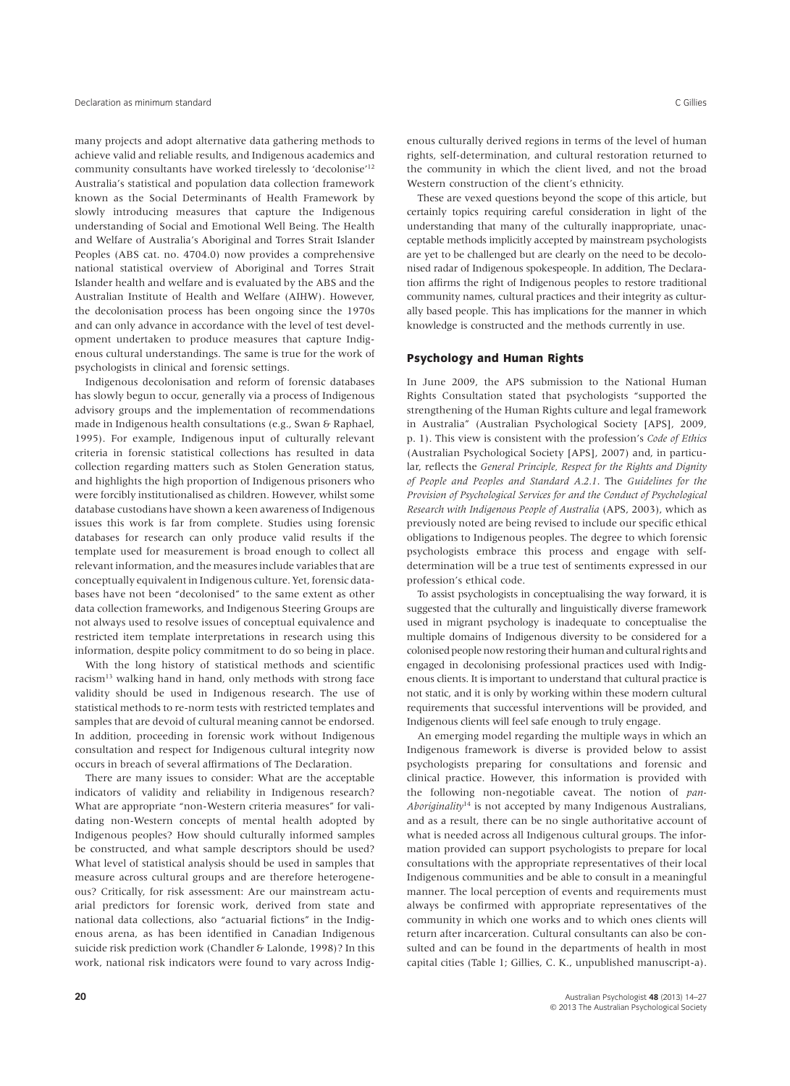many projects and adopt alternative data gathering methods to achieve valid and reliable results, and Indigenous academics and community consultants have worked tirelessly to 'decolonise'12 Australia's statistical and population data collection framework known as the Social Determinants of Health Framework by slowly introducing measures that capture the Indigenous understanding of Social and Emotional Well Being. The Health and Welfare of Australia's Aboriginal and Torres Strait Islander Peoples (ABS cat. no. 4704.0) now provides a comprehensive national statistical overview of Aboriginal and Torres Strait Islander health and welfare and is evaluated by the ABS and the Australian Institute of Health and Welfare (AIHW). However, the decolonisation process has been ongoing since the 1970s and can only advance in accordance with the level of test development undertaken to produce measures that capture Indigenous cultural understandings. The same is true for the work of psychologists in clinical and forensic settings.

Indigenous decolonisation and reform of forensic databases has slowly begun to occur, generally via a process of Indigenous advisory groups and the implementation of recommendations made in Indigenous health consultations (e.g., Swan & Raphael, 1995). For example, Indigenous input of culturally relevant criteria in forensic statistical collections has resulted in data collection regarding matters such as Stolen Generation status, and highlights the high proportion of Indigenous prisoners who were forcibly institutionalised as children. However, whilst some database custodians have shown a keen awareness of Indigenous issues this work is far from complete. Studies using forensic databases for research can only produce valid results if the template used for measurement is broad enough to collect all relevant information, and the measures include variables that are conceptually equivalent in Indigenous culture. Yet, forensic databases have not been "decolonised" to the same extent as other data collection frameworks, and Indigenous Steering Groups are not always used to resolve issues of conceptual equivalence and restricted item template interpretations in research using this information, despite policy commitment to do so being in place.

With the long history of statistical methods and scientific racism<sup>13</sup> walking hand in hand, only methods with strong face validity should be used in Indigenous research. The use of statistical methods to re-norm tests with restricted templates and samples that are devoid of cultural meaning cannot be endorsed. In addition, proceeding in forensic work without Indigenous consultation and respect for Indigenous cultural integrity now occurs in breach of several affirmations of The Declaration.

There are many issues to consider: What are the acceptable indicators of validity and reliability in Indigenous research? What are appropriate "non-Western criteria measures" for validating non-Western concepts of mental health adopted by Indigenous peoples? How should culturally informed samples be constructed, and what sample descriptors should be used? What level of statistical analysis should be used in samples that measure across cultural groups and are therefore heterogeneous? Critically, for risk assessment: Are our mainstream actuarial predictors for forensic work, derived from state and national data collections, also "actuarial fictions" in the Indigenous arena, as has been identified in Canadian Indigenous suicide risk prediction work (Chandler & Lalonde, 1998)? In this work, national risk indicators were found to vary across Indigenous culturally derived regions in terms of the level of human rights, self-determination, and cultural restoration returned to the community in which the client lived, and not the broad Western construction of the client's ethnicity.

These are vexed questions beyond the scope of this article, but certainly topics requiring careful consideration in light of the understanding that many of the culturally inappropriate, unacceptable methods implicitly accepted by mainstream psychologists are yet to be challenged but are clearly on the need to be decolonised radar of Indigenous spokespeople. In addition, The Declaration affirms the right of Indigenous peoples to restore traditional community names, cultural practices and their integrity as culturally based people. This has implications for the manner in which knowledge is constructed and the methods currently in use.

# **Psychology and Human Rights**

In June 2009, the APS submission to the National Human Rights Consultation stated that psychologists "supported the strengthening of the Human Rights culture and legal framework in Australia" (Australian Psychological Society [APS], 2009, p. 1). This view is consistent with the profession's *Code of Ethics* (Australian Psychological Society [APS], 2007) and, in particular, reflects the *General Principle, Respect for the Rights and Dignity of People and Peoples and Standard A.2.1*. The *Guidelines for the Provision of Psychological Services for and the Conduct of Psychological Research with Indigenous People of Australia* (APS, 2003), which as previously noted are being revised to include our specific ethical obligations to Indigenous peoples. The degree to which forensic psychologists embrace this process and engage with selfdetermination will be a true test of sentiments expressed in our profession's ethical code.

To assist psychologists in conceptualising the way forward, it is suggested that the culturally and linguistically diverse framework used in migrant psychology is inadequate to conceptualise the multiple domains of Indigenous diversity to be considered for a colonised people now restoring their human and cultural rights and engaged in decolonising professional practices used with Indigenous clients. It is important to understand that cultural practice is not static, and it is only by working within these modern cultural requirements that successful interventions will be provided, and Indigenous clients will feel safe enough to truly engage.

An emerging model regarding the multiple ways in which an Indigenous framework is diverse is provided below to assist psychologists preparing for consultations and forensic and clinical practice. However, this information is provided with the following non-negotiable caveat. The notion of *pan-Aboriginality*<sup>14</sup> is not accepted by many Indigenous Australians, and as a result, there can be no single authoritative account of what is needed across all Indigenous cultural groups. The information provided can support psychologists to prepare for local consultations with the appropriate representatives of their local Indigenous communities and be able to consult in a meaningful manner. The local perception of events and requirements must always be confirmed with appropriate representatives of the community in which one works and to which ones clients will return after incarceration. Cultural consultants can also be consulted and can be found in the departments of health in most capital cities (Table 1; Gillies, C. K., unpublished manuscript-a).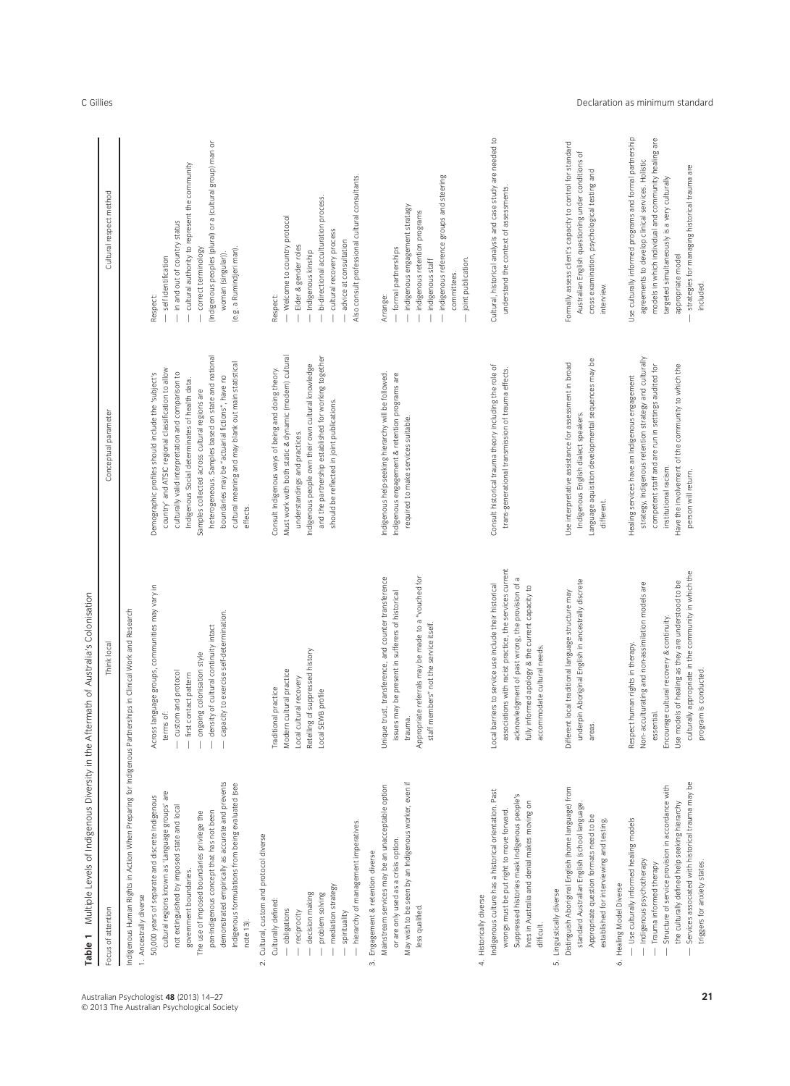| Table 1                                                                                                                                                                                                                                                                                                                                                                                                                                                                                                                                | Multiple Levels of Indigenous Diversity in the Aftermath of Australia's Colonisation                                                                                                                                                                                                    |                                                                                                                                                                                                                                                                                                                                                                                                                                               |                                                                                                                                                                                                                                                                                                         |
|----------------------------------------------------------------------------------------------------------------------------------------------------------------------------------------------------------------------------------------------------------------------------------------------------------------------------------------------------------------------------------------------------------------------------------------------------------------------------------------------------------------------------------------|-----------------------------------------------------------------------------------------------------------------------------------------------------------------------------------------------------------------------------------------------------------------------------------------|-----------------------------------------------------------------------------------------------------------------------------------------------------------------------------------------------------------------------------------------------------------------------------------------------------------------------------------------------------------------------------------------------------------------------------------------------|---------------------------------------------------------------------------------------------------------------------------------------------------------------------------------------------------------------------------------------------------------------------------------------------------------|
| Focus of attention                                                                                                                                                                                                                                                                                                                                                                                                                                                                                                                     | Think local                                                                                                                                                                                                                                                                             | Conceptual parameter                                                                                                                                                                                                                                                                                                                                                                                                                          | Cultural respect method                                                                                                                                                                                                                                                                                 |
| Indigenous Human Rights in Action When Preparing for Indigenous Partnerships in Clinical Work and Research<br>demonstrated empirically as accurate and prevents<br>Indigenous formulations from being evaluated (see<br>cultural regions known as 'Language groups' are<br>50,000 years of separate and discrete Indigenous<br>not extinguished by imposed state and local<br>pan-Indigenous concept that has not been<br>The use of imposed boundaries privilege the<br>government boundaries.<br>1. Ancestrally diverse<br>note 13). | groups, communities may vary in<br>capacity to exercise self-determination.<br>density of cultural continuity intact<br>ongoing colonisation style<br>custom and protocol<br>first contact pattern<br>Across language<br>terms of:                                                      | heterogeneous. Samples based on state and national<br>cultural meaning and may blank out main statistical<br>country' and ATSIC regional classification to allow<br>culturally valid interpretation and comparison to<br>Demographic profiles should include the 'subject's<br>boundaries may be "actuarial fictions", have no<br>Indigenous Social determinates of health data.<br>Samples collected across cultural regions are<br>effects. | (Indigenous peoples (plural) or a (cultural group) man or<br>cultural authority to represent the community<br>in and out of country status<br>(e.g. a Rumindjeri man).<br>correct terminology<br>woman (singular)).<br>self identification<br>Respect:                                                  |
| hierarchy of management imperatives.<br>Cultural, custom and protocol diverse<br>mediation strategy<br>decision making<br>problem solving<br>Culturally defined:<br>- obligations<br>reciprocity<br>spirituality<br>$\sim$                                                                                                                                                                                                                                                                                                             | Retelling of suppressed history<br>Modern cultural practice<br>Local cultural recovery<br>Traditional practice<br>Local SEWB profile                                                                                                                                                    | Must work with both static & dynamic (modern) cultural<br>and the partnership established for working together<br>Indigenous people own their own cultural knowledge<br>Consult Indigenous ways of being and doing theory.<br>should be reflected in joint publications.<br>understandings and practices.                                                                                                                                     | Also consult professional cultural consultants<br>bi-directional acculturation process.<br>Welcome to country protocol<br>cultural recovery process<br>advice at consultation<br>Elder & gender roles<br>Indigenous kinship<br>Respect:                                                                 |
| May wish to be seen by an Indigenous worker, even if<br>Mainstream services may be an unacceptable option<br>or are only used as a crisis option.<br>Engagement & retention diverse<br>less qualified.<br>$\vec{3}$                                                                                                                                                                                                                                                                                                                    | Unique trust, transference, and counter transference<br>Appropriate referrals may be made to a "vouched for<br>present in sufferers of historical<br>staff members" not the service itself<br>issues may be<br>trauma.                                                                  | Indigenous help-seeking hierarchy will be followed.<br>Indigenous engagement & retention programs are<br>required to make services suitable.                                                                                                                                                                                                                                                                                                  | indigenous reference groups and steering<br>indigenous engagement stratagy<br>indigenous retention programs<br>- formal partnerships<br>joint publication.<br>indigenous staff<br>committees.<br>Arrange:                                                                                               |
| Indigenous culture has a historical orientation. Past<br>Suppressed histories mask Indigenous people's<br>lives in Australia and denial makes moving on<br>wrongs must be put right to move forward.<br>4. Historically diverse<br>difficult.                                                                                                                                                                                                                                                                                          | associations with racist practice, the services current<br>acknowledgment of past wrong, the provision of a<br>service use include their historical<br>fully informed apology & the current capacity to<br>cultural needs.<br>accommodate<br>Local barriers to                          | Consult historical trauma theory including the role of<br>trans-generational transmission of trauma effects.                                                                                                                                                                                                                                                                                                                                  | Cultural, historical analysis and case study are needed to<br>understand the context of assessments.                                                                                                                                                                                                    |
| Distinguish Aboriginal English (home language) from<br>standard Australian English (school language.<br>Appropriate question formats need to be<br>established for interviewing and testing.<br>Linguistically diverse<br>5.                                                                                                                                                                                                                                                                                                           | iginal English in ancestrally discrete<br>Different local traditional language structure may<br>underpin Abor<br>areas.                                                                                                                                                                 | Language aquisition developmental sequences may be<br>Use interpretative assistance for assessment in broad<br>Indigenous English dialect speakers.<br>different.                                                                                                                                                                                                                                                                             | Formally assess client's capacity to control for standard<br>Australian English questioning under conditions of<br>cross examination, psychological testing and<br>interview.                                                                                                                           |
| Services associated with historical trauma may be<br>Structure of service provision in accordance with<br>the culturally defined help seeking hierarchy<br>- Use culturally informed healing models<br>Indigenous psychotherapy<br>triggers for anxiety states.<br>- Trauma informed therapy<br>6. Healing Model Diverse                                                                                                                                                                                                               | culturally appropriate in the community in which the<br>Use models of healing as they are understood to be<br>Non-acculturating and non-assimilation models are<br>Encourage cultural recovery & continuity.<br>Respect human rights in therapy.<br>program is conducted.<br>essential. | strategy, Indigenous retention strategy and culturally<br>competent staff and are run in settings audited for<br>Have the involvement of the community to which the<br>Healing services have an Indigenous engagement<br>institutional racism<br>person will return.                                                                                                                                                                          | Use culturally informed programs and formal partnership<br>models in which individual and community healing are<br>agreements to develop clinical services. Holistic<br>strategies for managing historical trauma are<br>targeted simultaneously is a very culturally<br>appropriate model<br>included. |

C Gillies **Declaration as minimum standard** 

Australian Psychologist **48** (2013) 14–27 © 2013 The Australian Psychological Society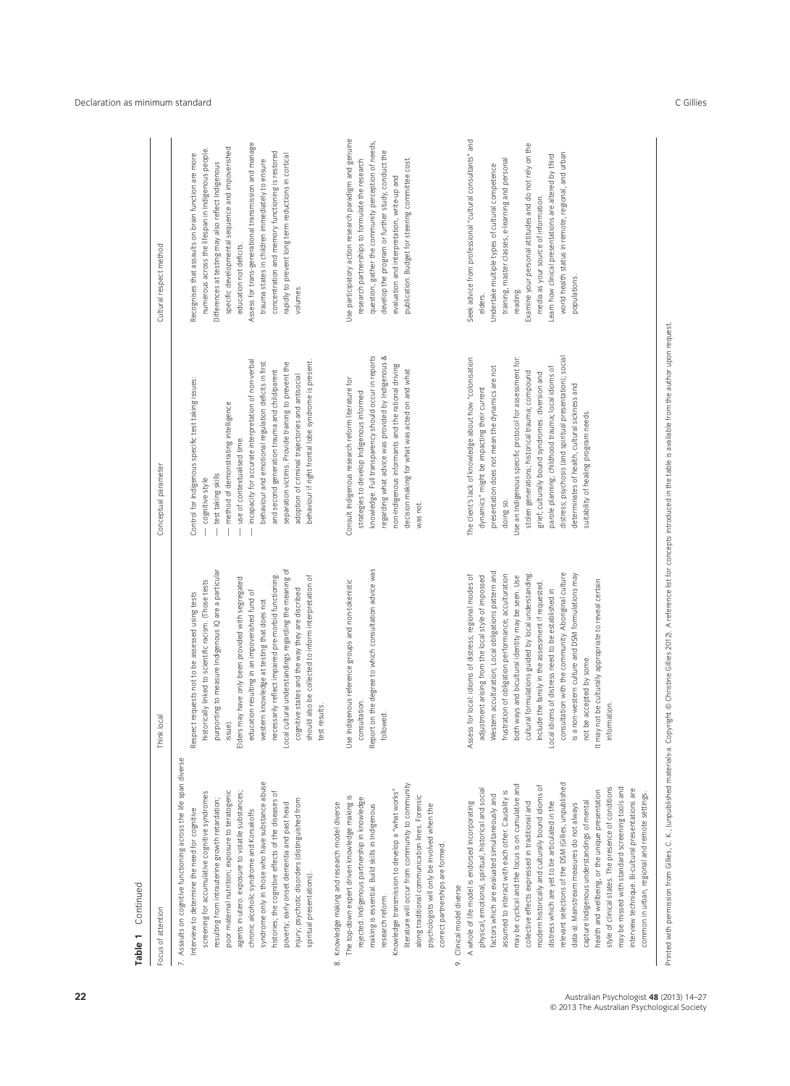| Continued<br>Table 1                                                                                                                                                                                                                                                                                                                                                                                                                                                                                                                                                                                                                                                                                                                                                                                                                    |                                                                                                                                                                                                                                                                                                                                                                                                                                                                                                                                                                                                                                                                           |                                                                                                                                                                                                                                                                                                                                                                                                                                                                                                                                                    |                                                                                                                                                                                                                                                                                                                                                                                                                                                                                   |
|-----------------------------------------------------------------------------------------------------------------------------------------------------------------------------------------------------------------------------------------------------------------------------------------------------------------------------------------------------------------------------------------------------------------------------------------------------------------------------------------------------------------------------------------------------------------------------------------------------------------------------------------------------------------------------------------------------------------------------------------------------------------------------------------------------------------------------------------|---------------------------------------------------------------------------------------------------------------------------------------------------------------------------------------------------------------------------------------------------------------------------------------------------------------------------------------------------------------------------------------------------------------------------------------------------------------------------------------------------------------------------------------------------------------------------------------------------------------------------------------------------------------------------|----------------------------------------------------------------------------------------------------------------------------------------------------------------------------------------------------------------------------------------------------------------------------------------------------------------------------------------------------------------------------------------------------------------------------------------------------------------------------------------------------------------------------------------------------|-----------------------------------------------------------------------------------------------------------------------------------------------------------------------------------------------------------------------------------------------------------------------------------------------------------------------------------------------------------------------------------------------------------------------------------------------------------------------------------|
| Focus of attention                                                                                                                                                                                                                                                                                                                                                                                                                                                                                                                                                                                                                                                                                                                                                                                                                      | Think local                                                                                                                                                                                                                                                                                                                                                                                                                                                                                                                                                                                                                                                               | Conceptual parameter                                                                                                                                                                                                                                                                                                                                                                                                                                                                                                                               | Cultural respect method                                                                                                                                                                                                                                                                                                                                                                                                                                                           |
| 7. Assaults on cognitive functioning across the life span diverse<br>syndrome only in those who have substance abuse<br>poor maternal nutrition; exposure to teratogenic<br>agents in-utero. exposure to volatile substances;<br>histories; the cognitive effects of the diseases of<br>screening for accumulative cognitive syndromes<br>resulting from intrauterine growth retardation;<br>injury; psychotic disorders (distinguished from<br>poverty; early onset dementia and past head<br>Interview to determine the need for cognitive<br>chronic alcoholic syndrome and Korsakoffs<br>spiritual presentations).                                                                                                                                                                                                                  | Local cultural understandings regarding the meaning of<br>purporting to measure Indigenous IQ are a particular<br>necessarily reflect impaired pre-morbid functioning.<br>should also be collected to inform interpretation of<br>Elders may have only been provided with segregated<br>historically linked to scientific racism. (Those tests<br>cognitive states and the way they are discribed<br>education resulting in an impoverished fund of<br>Respect requests not to be assessed using tests<br>western knowledge at testing that does not<br>test results.<br>issue).                                                                                          | incapacity for accurate interpretation of non-verbal<br>behaviour if right frontal lobe syndrome is present.<br>separation victims. Provide training to prevent the<br>behaviour and emotional regulation deficits in first<br>and second generation trauma and child/parent<br>adoption of criminal trajectories and antisocial<br>Control for Indigenous specific test taking issues:<br>method of demonstrating intelligence<br>use of contextualised time.<br>test taking skills<br>cognitive style<br>$\overline{\phantom{a}}$                | Assess for trans-generational transmission and manage<br>specific developmental sequence and impoverished<br>numerous across the lifespan in Indigenous people.<br>concentration and memory functioning is restored<br>Recognises that assaults on brain function are more<br>rapidly to prevent long term reductions in cortical<br>trauma states in children immediately to ensure<br>Differences at testing may also reflect Indigenous<br>education not deficits.<br>volumes. |
| literature will occur from community to community<br>Knowledge transmission to develop a "what works"<br>along traditional communication lines. Forensic<br>The top-down expert driven knowledge making is<br>rejected. Indigenous partnership in knowledge<br>8. Knowledge making and research model diverse<br>making is essential. Build skills in Indigenous<br>psychologists will only be involved when the<br>correct partnerships are formed.<br>research reform.                                                                                                                                                                                                                                                                                                                                                                | Report on the degree to which consultation advice was<br>Use Indigenous reference groups and non-tokenistic<br>consultation.<br>followed.                                                                                                                                                                                                                                                                                                                                                                                                                                                                                                                                 | knowledge. Full transparency should occur in reports<br>regarding what advice was provided by Indigenous &<br>non-Indigenous informants and the rational driving<br>decision making for what was acted on and what<br>Consult Indigenous research reform literature for<br>strategies to develop Indigenous informed<br>was not                                                                                                                                                                                                                    | Use participatory action research paradigm and genuine<br>question, gather the community perception of needs,<br>develop the program or further study, conduct the<br>publication. Budget for steering committee cost.<br>research partnerships to formulate the research<br>evaluation and interpretation, write-up and                                                                                                                                                          |
| relevant selections of the DSM (Gillies, unpublished<br>may be cyclical and the focus is on cumulative and<br>modem historically and culturally bound idioms of<br>style of clinical states. The presence of conditions<br>may be missed with standard screening tools and<br>physical, emotional, spiritual, historical and social<br>interview technique. Bi-cultural presentations are<br>health and wellbeing, or the unique presentation<br>assumed to interact with each other. Causality is<br>factors which are evaluated simultaneously and<br>collective effects expressed in traditional and<br>distress which are yet to be articulated in the<br>A whole of life model is endorsed incorporating<br>capture Indigenous understandings of mental<br>data-a). Mainstream measures do not always<br>9. Clinical model diverse | Western acculturation; Local obligations pattern and<br>consultation with the community. Aboriginal culture<br>cultural formulations guided by local understanding.<br>frustration of obligation performance; acculturation<br>Assess for local: idioms of distress; regional modes of<br>is a non-western culture and DSM formulations may<br>adjustment arising from the local style of impossed<br>both ways and bicultural identity may be seen. Use<br>It may not be culturally appropriate to reveal certain<br>Include the family in the assessment if requested<br>Local idioms of distress need to be established in<br>not be accepted by some.<br>information. | Use an Indigenous specific protocol for assessment for:<br>distress; psychosis (and spiritual presentation); social<br>The client's lack of knowledge about how "colonisation<br>parole planning; childhood trauma; local idioms of<br>presentation does not mean the dynamics are not<br>stolen generations; historical trauma; compound<br>grief; culturally bound syndromes. diversion and<br>determinates of health, cultural sickness and<br>dynamics" might be impacting their current<br>suitability of healing program needs.<br>doing so. | Seek advice from professional "cultural consultants" and<br>Examine your personal attitudes and do not rely on the<br>world health status in remote, regional, and urban<br>Learn how clinical presentations are altered by third<br>training, master classes, e-learning and personal<br>Undertake multiple types of cultural competence<br>media as your source of information.<br>populations.<br>reading.<br>elders.                                                          |
| common in urban, regional and remote settings.                                                                                                                                                                                                                                                                                                                                                                                                                                                                                                                                                                                                                                                                                                                                                                                          |                                                                                                                                                                                                                                                                                                                                                                                                                                                                                                                                                                                                                                                                           |                                                                                                                                                                                                                                                                                                                                                                                                                                                                                                                                                    |                                                                                                                                                                                                                                                                                                                                                                                                                                                                                   |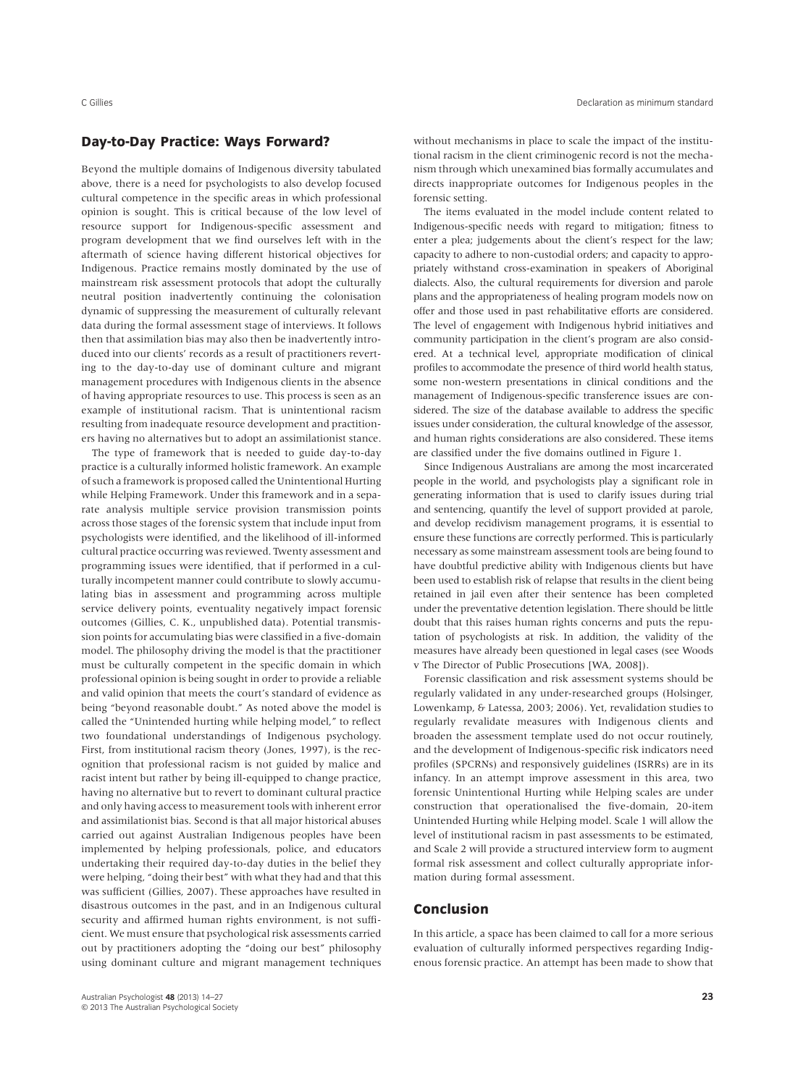# **Day-to-Day Practice: Ways Forward?**

Beyond the multiple domains of Indigenous diversity tabulated above, there is a need for psychologists to also develop focused cultural competence in the specific areas in which professional opinion is sought. This is critical because of the low level of resource support for Indigenous-specific assessment and program development that we find ourselves left with in the aftermath of science having different historical objectives for Indigenous. Practice remains mostly dominated by the use of mainstream risk assessment protocols that adopt the culturally neutral position inadvertently continuing the colonisation dynamic of suppressing the measurement of culturally relevant data during the formal assessment stage of interviews. It follows then that assimilation bias may also then be inadvertently introduced into our clients' records as a result of practitioners reverting to the day-to-day use of dominant culture and migrant management procedures with Indigenous clients in the absence of having appropriate resources to use. This process is seen as an example of institutional racism. That is unintentional racism resulting from inadequate resource development and practitioners having no alternatives but to adopt an assimilationist stance.

The type of framework that is needed to guide day-to-day practice is a culturally informed holistic framework. An example of such a framework is proposed called the Unintentional Hurting while Helping Framework. Under this framework and in a separate analysis multiple service provision transmission points across those stages of the forensic system that include input from psychologists were identified, and the likelihood of ill-informed cultural practice occurring was reviewed. Twenty assessment and programming issues were identified, that if performed in a culturally incompetent manner could contribute to slowly accumulating bias in assessment and programming across multiple service delivery points, eventuality negatively impact forensic outcomes (Gillies, C. K., unpublished data). Potential transmission points for accumulating bias were classified in a five-domain model. The philosophy driving the model is that the practitioner must be culturally competent in the specific domain in which professional opinion is being sought in order to provide a reliable and valid opinion that meets the court's standard of evidence as being "beyond reasonable doubt." As noted above the model is called the "Unintended hurting while helping model," to reflect two foundational understandings of Indigenous psychology. First, from institutional racism theory (Jones, 1997), is the recognition that professional racism is not guided by malice and racist intent but rather by being ill-equipped to change practice, having no alternative but to revert to dominant cultural practice and only having access to measurement tools with inherent error and assimilationist bias. Second is that all major historical abuses carried out against Australian Indigenous peoples have been implemented by helping professionals, police, and educators undertaking their required day-to-day duties in the belief they were helping, "doing their best" with what they had and that this was sufficient (Gillies, 2007). These approaches have resulted in disastrous outcomes in the past, and in an Indigenous cultural security and affirmed human rights environment, is not sufficient. We must ensure that psychological risk assessments carried out by practitioners adopting the "doing our best" philosophy using dominant culture and migrant management techniques

without mechanisms in place to scale the impact of the institutional racism in the client criminogenic record is not the mechanism through which unexamined bias formally accumulates and directs inappropriate outcomes for Indigenous peoples in the forensic setting.

The items evaluated in the model include content related to Indigenous-specific needs with regard to mitigation; fitness to enter a plea; judgements about the client's respect for the law; capacity to adhere to non-custodial orders; and capacity to appropriately withstand cross-examination in speakers of Aboriginal dialects. Also, the cultural requirements for diversion and parole plans and the appropriateness of healing program models now on offer and those used in past rehabilitative efforts are considered. The level of engagement with Indigenous hybrid initiatives and community participation in the client's program are also considered. At a technical level, appropriate modification of clinical profiles to accommodate the presence of third world health status, some non-western presentations in clinical conditions and the management of Indigenous-specific transference issues are considered. The size of the database available to address the specific issues under consideration, the cultural knowledge of the assessor, and human rights considerations are also considered. These items are classified under the five domains outlined in Figure 1.

Since Indigenous Australians are among the most incarcerated people in the world, and psychologists play a significant role in generating information that is used to clarify issues during trial and sentencing, quantify the level of support provided at parole, and develop recidivism management programs, it is essential to ensure these functions are correctly performed. This is particularly necessary as some mainstream assessment tools are being found to have doubtful predictive ability with Indigenous clients but have been used to establish risk of relapse that results in the client being retained in jail even after their sentence has been completed under the preventative detention legislation. There should be little doubt that this raises human rights concerns and puts the reputation of psychologists at risk. In addition, the validity of the measures have already been questioned in legal cases (see Woods v The Director of Public Prosecutions [WA, 2008]).

Forensic classification and risk assessment systems should be regularly validated in any under-researched groups (Holsinger, Lowenkamp, & Latessa, 2003; 2006). Yet, revalidation studies to regularly revalidate measures with Indigenous clients and broaden the assessment template used do not occur routinely, and the development of Indigenous-specific risk indicators need profiles (SPCRNs) and responsively guidelines (ISRRs) are in its infancy. In an attempt improve assessment in this area, two forensic Unintentional Hurting while Helping scales are under construction that operationalised the five-domain, 20-item Unintended Hurting while Helping model. Scale 1 will allow the level of institutional racism in past assessments to be estimated, and Scale 2 will provide a structured interview form to augment formal risk assessment and collect culturally appropriate information during formal assessment.

# **Conclusion**

In this article, a space has been claimed to call for a more serious evaluation of culturally informed perspectives regarding Indigenous forensic practice. An attempt has been made to show that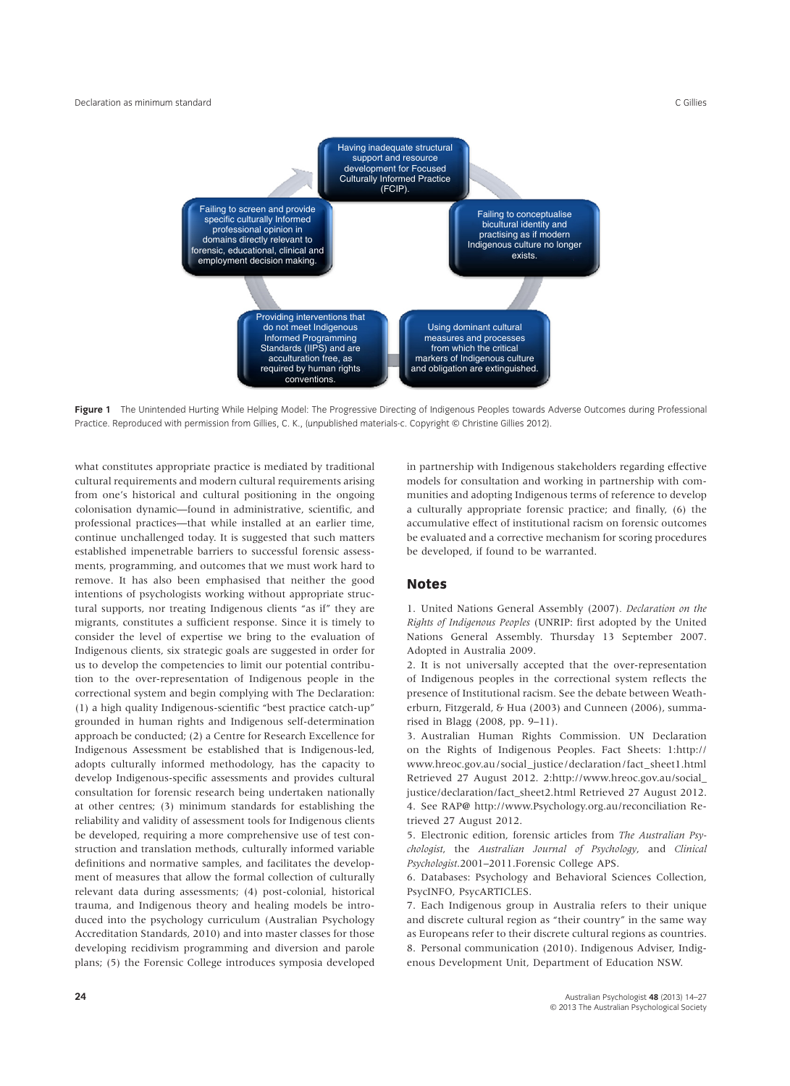

**Figure 1** The Unintended Hurting While Helping Model: The Progressive Directing of Indigenous Peoples towards Adverse Outcomes during Professional Practice. Reproduced with permission from Gillies, C. K., (unpublished materials-c. Copyright © Christine Gillies 2012).

what constitutes appropriate practice is mediated by traditional cultural requirements and modern cultural requirements arising from one's historical and cultural positioning in the ongoing colonisation dynamic—found in administrative, scientific, and professional practices—that while installed at an earlier time, continue unchallenged today. It is suggested that such matters established impenetrable barriers to successful forensic assessments, programming, and outcomes that we must work hard to remove. It has also been emphasised that neither the good intentions of psychologists working without appropriate structural supports, nor treating Indigenous clients "as if" they are migrants, constitutes a sufficient response. Since it is timely to consider the level of expertise we bring to the evaluation of Indigenous clients, six strategic goals are suggested in order for us to develop the competencies to limit our potential contribution to the over-representation of Indigenous people in the correctional system and begin complying with The Declaration: (1) a high quality Indigenous-scientific "best practice catch-up" grounded in human rights and Indigenous self-determination approach be conducted; (2) a Centre for Research Excellence for Indigenous Assessment be established that is Indigenous-led, adopts culturally informed methodology, has the capacity to develop Indigenous-specific assessments and provides cultural consultation for forensic research being undertaken nationally at other centres; (3) minimum standards for establishing the reliability and validity of assessment tools for Indigenous clients be developed, requiring a more comprehensive use of test construction and translation methods, culturally informed variable definitions and normative samples, and facilitates the development of measures that allow the formal collection of culturally relevant data during assessments; (4) post-colonial, historical trauma, and Indigenous theory and healing models be introduced into the psychology curriculum (Australian Psychology Accreditation Standards, 2010) and into master classes for those developing recidivism programming and diversion and parole plans; (5) the Forensic College introduces symposia developed

in partnership with Indigenous stakeholders regarding effective models for consultation and working in partnership with communities and adopting Indigenous terms of reference to develop a culturally appropriate forensic practice; and finally, (6) the accumulative effect of institutional racism on forensic outcomes be evaluated and a corrective mechanism for scoring procedures be developed, if found to be warranted.

# **Notes**

1. United Nations General Assembly (2007)*. Declaration on the Rights of Indigenous Peoples* (UNRIP: first adopted by the United Nations General Assembly. Thursday 13 September 2007. Adopted in Australia 2009.

2. It is not universally accepted that the over-representation of Indigenous peoples in the correctional system reflects the presence of Institutional racism. See the debate between Weatherburn, Fitzgerald, & Hua (2003) and Cunneen (2006), summarised in Blagg (2008, pp. 9–11).

3. Australian Human Rights Commission. UN Declaration on the Rights of Indigenous Peoples. Fact Sheets: 1:http:// www.hreoc.gov.au/social\_justice/declaration/fact\_sheet1.html Retrieved 27 August 2012. 2:http://www.hreoc.gov.au/social\_ justice/declaration/fact\_sheet2.html Retrieved 27 August 2012. 4. See RAP**@** http://www.Psychology.org.au/reconciliation Retrieved 27 August 2012.

5. Electronic edition, forensic articles from *The Australian Psychologist*, the *Australian Journal of Psychology*, and *Clinical Psychologist*.2001–2011.Forensic College APS.

6. Databases: Psychology and Behavioral Sciences Collection, PsycINFO, PsycARTICLES.

7. Each Indigenous group in Australia refers to their unique and discrete cultural region as "their country" in the same way as Europeans refer to their discrete cultural regions as countries. 8. Personal communication (2010). Indigenous Adviser, Indigenous Development Unit, Department of Education NSW.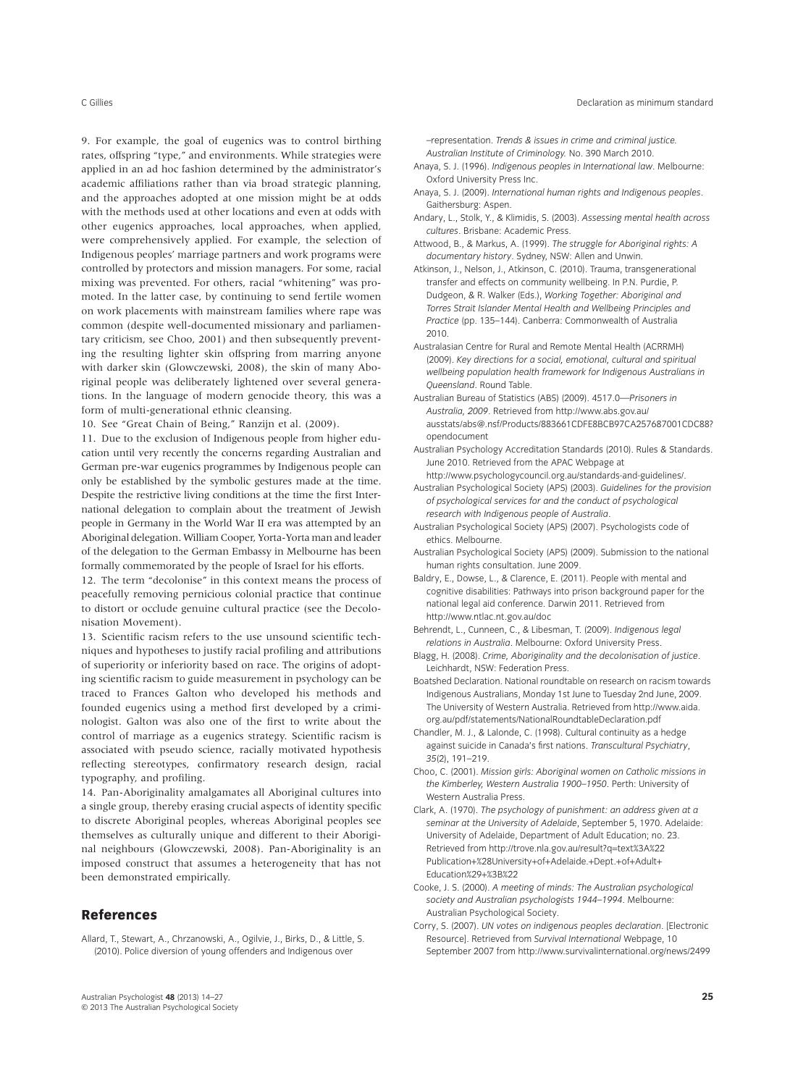9. For example, the goal of eugenics was to control birthing rates, offspring "type," and environments. While strategies were applied in an ad hoc fashion determined by the administrator's academic affiliations rather than via broad strategic planning, and the approaches adopted at one mission might be at odds with the methods used at other locations and even at odds with other eugenics approaches, local approaches, when applied, were comprehensively applied. For example, the selection of Indigenous peoples' marriage partners and work programs were controlled by protectors and mission managers. For some, racial mixing was prevented. For others, racial "whitening" was promoted. In the latter case, by continuing to send fertile women on work placements with mainstream families where rape was

common (despite well-documented missionary and parliamentary criticism, see Choo, 2001) and then subsequently preventing the resulting lighter skin offspring from marring anyone with darker skin (Glowczewski, 2008), the skin of many Aboriginal people was deliberately lightened over several generations. In the language of modern genocide theory, this was a form of multi-generational ethnic cleansing.

10. See "Great Chain of Being," Ranzijn et al. (2009).

11. Due to the exclusion of Indigenous people from higher education until very recently the concerns regarding Australian and German pre-war eugenics programmes by Indigenous people can only be established by the symbolic gestures made at the time. Despite the restrictive living conditions at the time the first International delegation to complain about the treatment of Jewish people in Germany in the World War II era was attempted by an Aboriginal delegation.William Cooper, Yorta-Yorta man and leader of the delegation to the German Embassy in Melbourne has been formally commemorated by the people of Israel for his efforts.

12. The term "decolonise" in this context means the process of peacefully removing pernicious colonial practice that continue to distort or occlude genuine cultural practice (see the Decolonisation Movement).

13. Scientific racism refers to the use unsound scientific techniques and hypotheses to justify racial profiling and attributions of superiority or inferiority based on race. The origins of adopting scientific racism to guide measurement in psychology can be traced to Frances Galton who developed his methods and founded eugenics using a method first developed by a criminologist. Galton was also one of the first to write about the control of marriage as a eugenics strategy. Scientific racism is associated with pseudo science, racially motivated hypothesis reflecting stereotypes, confirmatory research design, racial typography, and profiling.

14. Pan-Aboriginality amalgamates all Aboriginal cultures into a single group, thereby erasing crucial aspects of identity specific to discrete Aboriginal peoples, whereas Aboriginal peoples see themselves as culturally unique and different to their Aboriginal neighbours (Glowczewski, 2008). Pan-Aboriginality is an imposed construct that assumes a heterogeneity that has not been demonstrated empirically.

# **References**

Allard, T., Stewart, A., Chrzanowski, A., Ogilvie, J., Birks, D., & Little, S. (2010). Police diversion of young offenders and Indigenous over

–representation. *Trends & issues in crime and criminal justice. Australian Institute of Criminology.* No. 390 March 2010.

- Anaya, S. J. (1996). *Indigenous peoples in International law*. Melbourne: Oxford University Press Inc.
- Anaya, S. J. (2009). *International human rights and Indigenous peoples*. Gaithersburg: Aspen.
- Andary, L., Stolk, Y., & Klimidis, S. (2003). *Assessing mental health across cultures*. Brisbane: Academic Press.
- Attwood, B., & Markus, A. (1999). *The struggle for Aboriginal rights: A documentary history*. Sydney, NSW: Allen and Unwin.
- Atkinson, J., Nelson, J., Atkinson, C. (2010). Trauma, transgenerational transfer and effects on community wellbeing. In P.N. Purdie, P. Dudgeon, & R. Walker (Eds.), *Working Together: Aboriginal and Torres Strait Islander Mental Health and Wellbeing Principles and Practice* (pp. 135–144). Canberra: Commonwealth of Australia 2010.
- Australasian Centre for Rural and Remote Mental Health (ACRRMH) (2009). *Key directions for a social, emotional, cultural and spiritual wellbeing population health framework for Indigenous Australians in Queensland*. Round Table.
- Australian Bureau of Statistics (ABS) (2009). 4517.0—*Prisoners in Australia, 2009*. Retrieved from http://www.abs.gov.au/ ausstats/abs@.nsf/Products/883661CDFE8BCB97CA257687001CDC88? opendocument

Australian Psychology Accreditation Standards (2010). Rules & Standards. June 2010. Retrieved from the APAC Webpage at

- http://www.psychologycouncil.org.au/standards-and-guidelines/. Australian Psychological Society (APS) (2003). *Guidelines for the provision of psychological services for and the conduct of psychological research with Indigenous people of Australia*.
- Australian Psychological Society (APS) (2007). Psychologists code of ethics. Melbourne.
- Australian Psychological Society (APS) (2009). Submission to the national human rights consultation. June 2009.
- Baldry, E., Dowse, L., & Clarence, E. (2011). People with mental and cognitive disabilities: Pathways into prison background paper for the national legal aid conference. Darwin 2011. Retrieved from http://www.ntlac.nt.gov.au/doc
- Behrendt, L., Cunneen, C., & Libesman, T. (2009). *Indigenous legal relations in Australia*. Melbourne: Oxford University Press.
- Blagg, H. (2008). *Crime, Aboriginality and the decolonisation of justice*. Leichhardt, NSW: Federation Press.
- Boatshed Declaration. National roundtable on research on racism towards Indigenous Australians, Monday 1st June to Tuesday 2nd June, 2009. The University of Western Australia. Retrieved from http://www.aida. org.au/pdf/statements/NationalRoundtableDeclaration.pdf
- Chandler, M. J., & Lalonde, C. (1998). Cultural continuity as a hedge against suicide in Canada's first nations. *Transcultural Psychiatry*, *35*(2), 191–219.
- Choo, C. (2001). *Mission girls: Aboriginal women on Catholic missions in the Kimberley, Western Australia 1900–1950*. Perth: University of Western Australia Press.
- Clark, A. (1970). *The psychology of punishment: an address given at a seminar at the University of Adelaide*, September 5, 1970. Adelaide: University of Adelaide, Department of Adult Education; no. 23. Retrieved from http://trove.nla.gov.au/result?q=text%3A%22 Publication+%28University+of+Adelaide.+Dept.+of+Adult+ Education%29+%3B%22
- Cooke, J. S. (2000). *A meeting of minds: The Australian psychological society and Australian psychologists 1944–1994*. Melbourne: Australian Psychological Society.
- Corry, S. (2007). *UN votes on indigenous peoples declaration*. [Electronic Resource]. Retrieved from *Survival International* Webpage, 10 September 2007 from http://www.survivalinternational.org/news/2499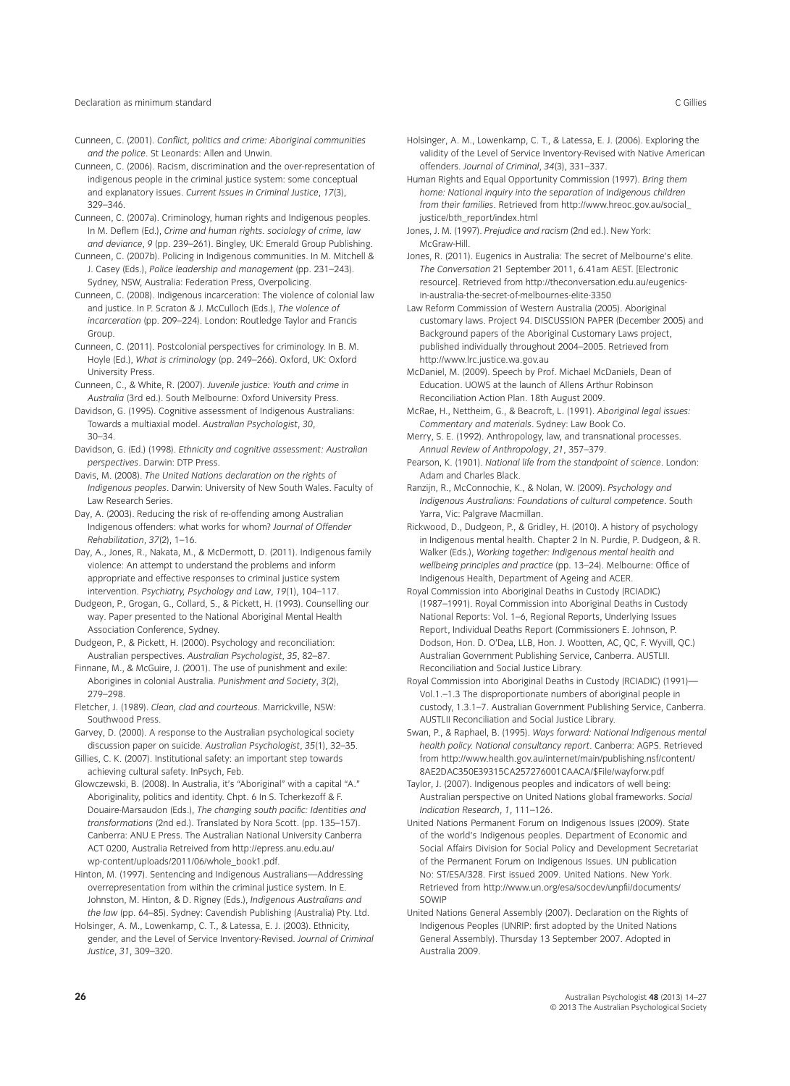#### Declaration as minimum standard C Gillies

- Cunneen, C. (2001). *Conflict, politics and crime: Aboriginal communities and the police*. St Leonards: Allen and Unwin.
- Cunneen, C. (2006). Racism, discrimination and the over-representation of indigenous people in the criminal justice system: some conceptual and explanatory issues. *Current Issues in Criminal Justice*, *17*(3), 329–346.
- Cunneen, C. (2007a). Criminology, human rights and Indigenous peoples. In M. Deflem (Ed.), *Crime and human rights. sociology of crime, law and deviance*, *9* (pp. 239–261). Bingley, UK: Emerald Group Publishing.
- Cunneen, C. (2007b). Policing in Indigenous communities. In M. Mitchell & J. Casey (Eds.), *Police leadership and management* (pp. 231–243). Sydney, NSW, Australia: Federation Press, Overpolicing.
- Cunneen, C. (2008). Indigenous incarceration: The violence of colonial law and justice. In P. Scraton & J. McCulloch (Eds.), *The violence of incarceration* (pp. 209–224). London: Routledge Taylor and Francis Group.
- Cunneen, C. (2011). Postcolonial perspectives for criminology. In B. M. Hoyle (Ed.), *What is criminology* (pp. 249–266). Oxford, UK: Oxford University Press.
- Cunneen, C., & White, R. (2007). *Juvenile justice: Youth and crime in Australia* (3rd ed.). South Melbourne: Oxford University Press.
- Davidson, G. (1995). Cognitive assessment of Indigenous Australians: Towards a multiaxial model. *Australian Psychologist*, *30*, 30–34.
- Davidson, G. (Ed.) (1998). *Ethnicity and cognitive assessment: Australian perspectives*. Darwin: DTP Press.
- Davis, M. (2008). *The United Nations declaration on the rights of Indigenous peoples*. Darwin: University of New South Wales. Faculty of Law Research Series.
- Day, A. (2003). Reducing the risk of re-offending among Australian Indigenous offenders: what works for whom? *Journal of Offender Rehabilitation*, *37*(2), 1–16.
- Day, A., Jones, R., Nakata, M., & McDermott, D. (2011). Indigenous family violence: An attempt to understand the problems and inform appropriate and effective responses to criminal justice system intervention. *Psychiatry, Psychology and Law*, *19*(1), 104–117.
- Dudgeon, P., Grogan, G., Collard, S., & Pickett, H. (1993). Counselling our way. Paper presented to the National Aboriginal Mental Health Association Conference, Sydney.
- Dudgeon, P., & Pickett, H. (2000). Psychology and reconciliation: Australian perspectives. *Australian Psychologist*, *35*, 82–87.
- Finnane, M., & McGuire, J. (2001). The use of punishment and exile: Aborigines in colonial Australia. *Punishment and Society*, *3*(2), 279–298.
- Fletcher, J. (1989). *Clean, clad and courteous*. Marrickville, NSW: Southwood Press.
- Garvey, D. (2000). A response to the Australian psychological society discussion paper on suicide. *Australian Psychologist*, *35*(1), 32–35.
- Gillies, C. K. (2007). Institutional safety: an important step towards achieving cultural safety. InPsych, Feb.
- Glowczewski, B. (2008). In Australia, it's "Aboriginal" with a capital "A." Aboriginality, politics and identity. Chpt. 6 In S. Tcherkezoff & F. Douaire-Marsaudon (Eds.), *The changing south pacific: Identities and transformations* (2nd ed.). Translated by Nora Scott. (pp. 135–157). Canberra: ANU E Press. The Australian National University Canberra ACT 0200, Australia Retreived from http://epress.anu.edu.au/ wp-content/uploads/2011/06/whole\_book1.pdf.
- Hinton, M. (1997). Sentencing and Indigenous Australians—Addressing overrepresentation from within the criminal justice system. In E. Johnston, M. Hinton, & D. Rigney (Eds.), *Indigenous Australians and the law* (pp. 64–85). Sydney: Cavendish Publishing (Australia) Pty. Ltd.
- Holsinger, A. M., Lowenkamp, C. T., & Latessa, E. J. (2003). Ethnicity, gender, and the Level of Service Inventory-Revised. *Journal of Criminal Justice*, *31*, 309–320.
- Holsinger, A. M., Lowenkamp, C. T., & Latessa, E. J. (2006). Exploring the validity of the Level of Service Inventory-Revised with Native American offenders. *Journal of Criminal*, *34*(3), 331–337.
- Human Rights and Equal Opportunity Commission (1997). *Bring them home: National inquiry into the separation of Indigenous children from their families*. Retrieved from http://www.hreoc.gov.au/social\_ justice/bth\_report/index.html
- Jones, J. M. (1997). *Prejudice and racism* (2nd ed.). New York: McGraw-Hill.
- Jones, R. (2011). Eugenics in Australia: The secret of Melbourne's elite. *The Conversation* 21 September 2011, 6.41am AEST. [Electronic resource]. Retrieved from http://theconversation.edu.au/eugenicsin-australia-the-secret-of-melbournes-elite-3350
- Law Reform Commission of Western Australia (2005). Aboriginal customary laws. Project 94. DISCUSSION PAPER (December 2005) and Background papers of the Aboriginal Customary Laws project, published individually throughout 2004–2005. Retrieved from http://www.lrc.justice.wa.gov.au
- McDaniel, M. (2009). Speech by Prof. Michael McDaniels, Dean of Education. UOWS at the launch of Allens Arthur Robinson Reconciliation Action Plan. 18th August 2009.
- McRae, H., Nettheim, G., & Beacroft, L. (1991). *Aboriginal legal issues: Commentary and materials*. Sydney: Law Book Co.
- Merry, S. E. (1992). Anthropology, law, and transnational processes. *Annual Review of Anthropology*, *21*, 357–379.
- Pearson, K. (1901). *National life from the standpoint of science*. London: Adam and Charles Black.
- Ranzijn, R., McConnochie, K., & Nolan, W. (2009). *Psychology and Indigenous Australians: Foundations of cultural competence*. South Yarra, Vic: Palgrave Macmillan.
- Rickwood, D., Dudgeon, P., & Gridley, H. (2010). A history of psychology in Indigenous mental health. Chapter 2 In N. Purdie, P. Dudgeon, & R. Walker (Eds.), *Working together: Indigenous mental health and wellbeing principles and practice* (pp. 13–24). Melbourne: Office of Indigenous Health, Department of Ageing and ACER.
- Royal Commission into Aboriginal Deaths in Custody (RCIADIC) (1987–1991). Royal Commission into Aboriginal Deaths in Custody National Reports: Vol. 1–6, Regional Reports, Underlying Issues Report, Individual Deaths Report (Commissioners E. Johnson, P. Dodson, Hon. D. O'Dea, LLB, Hon. J. Wootten, AC, QC, F. Wyvill, QC.) Australian Government Publishing Service, Canberra. AUSTLII. Reconciliation and Social Justice Library.
- Royal Commission into Aboriginal Deaths in Custody (RCIADIC) (1991)— Vol.1.–1.3 The disproportionate numbers of aboriginal people in custody, 1.3.1–7. Australian Government Publishing Service, Canberra. AUSTLII Reconciliation and Social Justice Library.
- Swan, P., & Raphael, B. (1995). *Ways forward: National Indigenous mental health policy. National consultancy report*. Canberra: AGPS. Retrieved from http://www.health.gov.au/internet/main/publishing.nsf/content/ 8AE2DAC350E39315CA257276001CAACA/\$File/wayforw.pdf
- Taylor, J. (2007). Indigenous peoples and indicators of well being: Australian perspective on United Nations global frameworks. *Social Indication Research*, *1*, 111–126.
- United Nations Permanent Forum on Indigenous Issues (2009). State of the world's Indigenous peoples. Department of Economic and Social Affairs Division for Social Policy and Development Secretariat of the Permanent Forum on Indigenous Issues. UN publication No: ST/ESA/328. First issued 2009. United Nations. New York. Retrieved from http://www.un.org/esa/socdev/unpfii/documents/ **SOWIP**
- United Nations General Assembly (2007). Declaration on the Rights of Indigenous Peoples (UNRIP: first adopted by the United Nations General Assembly). Thursday 13 September 2007. Adopted in Australia 2009.